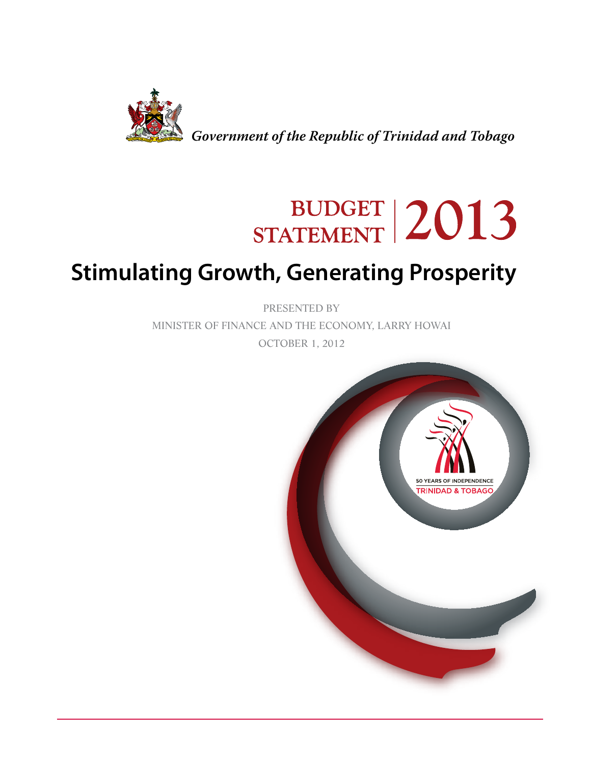

*Government of the Republic of Trinidad and Tobago*

# BUDGET 2013

## **Stimulating Growth, Generating Prosperity**

PRESENTED BY MINISTER OF FINANCE AND THE ECONOMY, LARRY HOWAI

OCTOBER 1, 2012

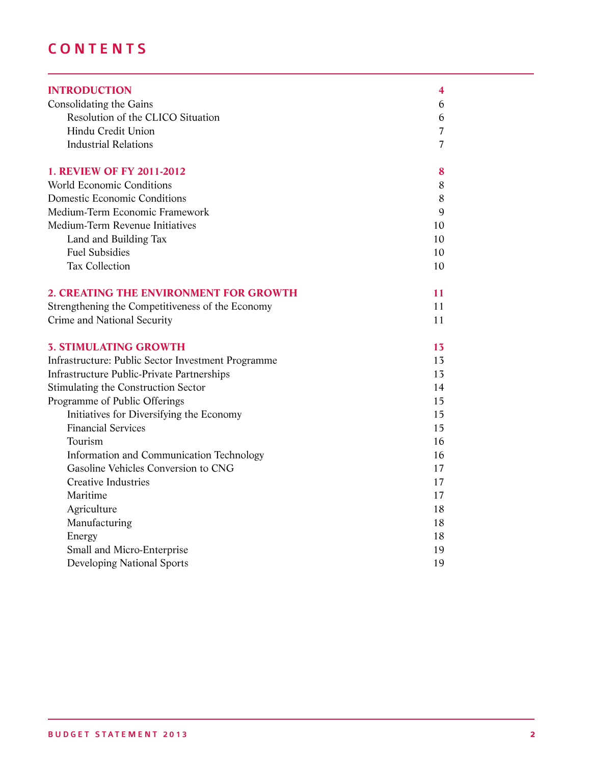### **CONTENTS**

| <b>INTRODUCTION</b>                                | 4              |
|----------------------------------------------------|----------------|
| Consolidating the Gains                            | 6              |
| Resolution of the CLICO Situation                  | 6              |
| Hindu Credit Union                                 | $\overline{7}$ |
| <b>Industrial Relations</b>                        | 7              |
| <b>1. REVIEW OF FY 2011-2012</b>                   | 8              |
| <b>World Economic Conditions</b>                   | 8              |
| Domestic Economic Conditions                       | 8              |
| Medium-Term Economic Framework                     | 9              |
| Medium-Term Revenue Initiatives                    | 10             |
| Land and Building Tax                              | 10             |
| <b>Fuel Subsidies</b>                              | 10             |
| <b>Tax Collection</b>                              | 10             |
| 2. CREATING THE ENVIRONMENT FOR GROWTH             | 11             |
| Strengthening the Competitiveness of the Economy   | 11             |
| Crime and National Security                        | 11             |
| <b>3. STIMULATING GROWTH</b>                       | 13             |
| Infrastructure: Public Sector Investment Programme | 13             |
| <b>Infrastructure Public-Private Partnerships</b>  | 13             |
| Stimulating the Construction Sector                | 14             |
| Programme of Public Offerings                      | 15             |
| Initiatives for Diversifying the Economy           | 15             |
| <b>Financial Services</b>                          | 15             |
| Tourism                                            | 16             |
| Information and Communication Technology           | 16             |
| Gasoline Vehicles Conversion to CNG                | 17             |
| <b>Creative Industries</b>                         | 17             |
| Maritime                                           | 17             |
| Agriculture                                        | 18             |
| Manufacturing                                      | 18             |
| Energy                                             | 18             |
| Small and Micro-Enterprise                         | 19             |
| <b>Developing National Sports</b>                  | 19             |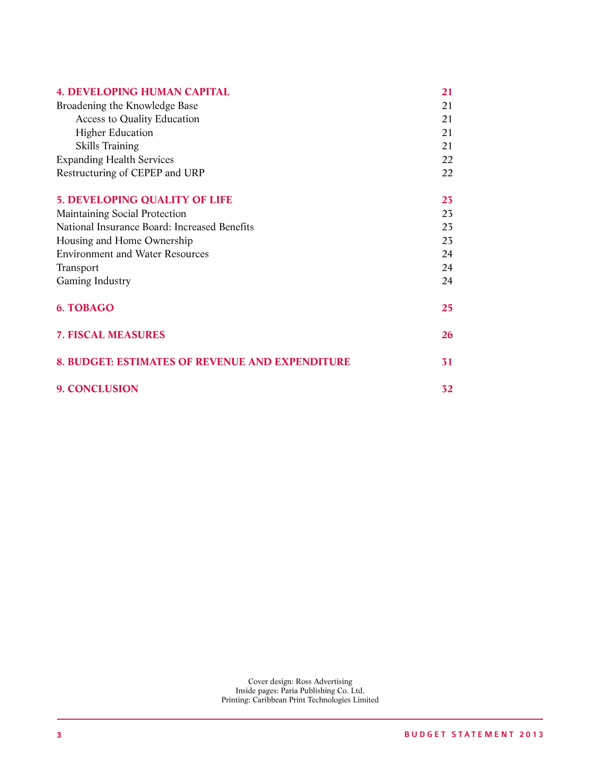| <b>4. DEVELOPING HUMAN CAPITAL</b>              | 21 |
|-------------------------------------------------|----|
| Broadening the Knowledge Base                   | 21 |
| <b>Access to Quality Education</b>              | 21 |
| <b>Higher Education</b>                         | 21 |
| Skills Training                                 | 21 |
| <b>Expanding Health Services</b>                | 22 |
| Restructuring of CEPEP and URP                  | 22 |
| <b>5. DEVELOPING QUALITY OF LIFE</b>            | 23 |
| <b>Maintaining Social Protection</b>            | 23 |
| National Insurance Board: Increased Benefits    | 23 |
| Housing and Home Ownership                      | 23 |
| <b>Environment and Water Resources</b>          | 24 |
| Transport                                       | 24 |
| Gaming Industry                                 | 24 |
| 6. TOBAGO                                       | 25 |
| <b>7. FISCAL MEASURES</b>                       | 26 |
| 8. BUDGET: ESTIMATES OF REVENUE AND EXPENDITURE | 31 |
| <b>9. CONCLUSION</b>                            | 32 |

Cover design: Ross Advertising Inside pages: Paria Publishing Co. Ltd. Printing: Caribbean Print Technologies Limited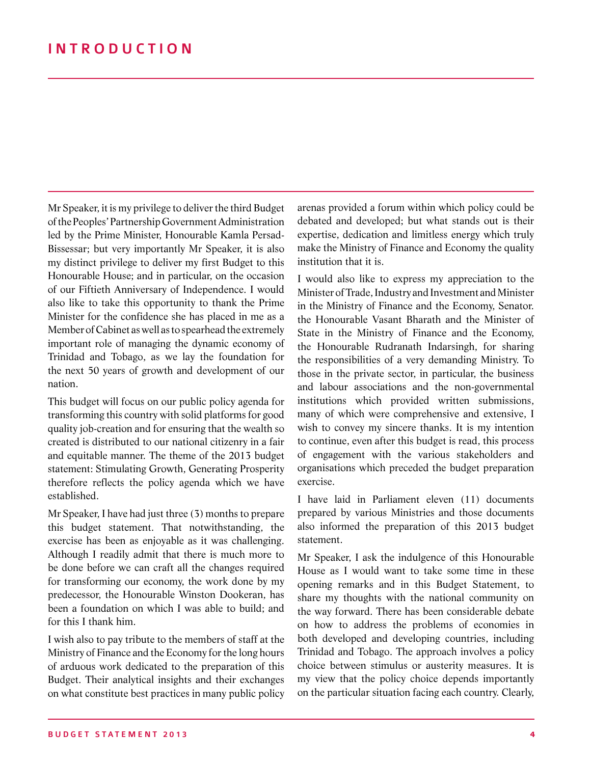Mr Speaker, it is my privilege to deliver the third Budget of the Peoples' Partnership Government Administration led by the Prime Minister, Honourable Kamla Persad-Bissessar; but very importantly Mr Speaker, it is also my distinct privilege to deliver my first Budget to this Honourable House; and in particular, on the occasion of our Fiftieth Anniversary of Independence. I would also like to take this opportunity to thank the Prime Minister for the confidence she has placed in me as a Member of Cabinet as well as to spearhead the extremely important role of managing the dynamic economy of Trinidad and Tobago, as we lay the foundation for the next 50 years of growth and development of our nation.

This budget will focus on our public policy agenda for transforming this country with solid platforms for good quality job-creation and for ensuring that the wealth so created is distributed to our national citizenry in a fair and equitable manner. The theme of the 2013 budget statement: Stimulating Growth, Generating Prosperity therefore reflects the policy agenda which we have established.

Mr Speaker, I have had just three (3) months to prepare this budget statement. That notwithstanding, the exercise has been as enjoyable as it was challenging. Although I readily admit that there is much more to be done before we can craft all the changes required for transforming our economy, the work done by my predecessor, the Honourable Winston Dookeran, has been a foundation on which I was able to build; and for this I thank him.

I wish also to pay tribute to the members of staff at the Ministry of Finance and the Economy for the long hours of arduous work dedicated to the preparation of this Budget. Their analytical insights and their exchanges on what constitute best practices in many public policy

arenas provided a forum within which policy could be debated and developed; but what stands out is their expertise, dedication and limitless energy which truly make the Ministry of Finance and Economy the quality institution that it is.

I would also like to express my appreciation to the Minister of Trade, Industry and Investment and Minister in the Ministry of Finance and the Economy, Senator. the Honourable Vasant Bharath and the Minister of State in the Ministry of Finance and the Economy, the Honourable Rudranath Indarsingh, for sharing the responsibilities of a very demanding Ministry. To those in the private sector, in particular, the business and labour associations and the non-governmental institutions which provided written submissions, many of which were comprehensive and extensive, I wish to convey my sincere thanks. It is my intention to continue, even after this budget is read, this process of engagement with the various stakeholders and organisations which preceded the budget preparation exercise.

I have laid in Parliament eleven (11) documents prepared by various Ministries and those documents also informed the preparation of this 2013 budget statement.

Mr Speaker, I ask the indulgence of this Honourable House as I would want to take some time in these opening remarks and in this Budget Statement, to share my thoughts with the national community on the way forward. There has been considerable debate on how to address the problems of economies in both developed and developing countries, including Trinidad and Tobago. The approach involves a policy choice between stimulus or austerity measures. It is my view that the policy choice depends importantly on the particular situation facing each country. Clearly,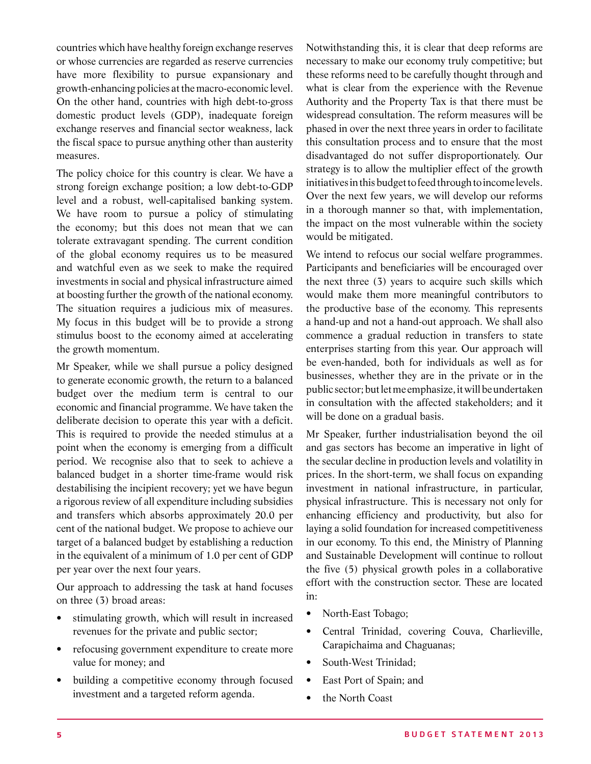countries which have healthy foreign exchange reserves or whose currencies are regarded as reserve currencies have more flexibility to pursue expansionary and growth-enhancing policies at the macro-economic level. On the other hand, countries with high debt-to-gross domestic product levels (GDP), inadequate foreign exchange reserves and financial sector weakness, lack the fiscal space to pursue anything other than austerity measures.

The policy choice for this country is clear. We have a strong foreign exchange position; a low debt-to-GDP level and a robust, well-capitalised banking system. We have room to pursue a policy of stimulating the economy; but this does not mean that we can tolerate extravagant spending. The current condition of the global economy requires us to be measured and watchful even as we seek to make the required investments in social and physical infrastructure aimed at boosting further the growth of the national economy. The situation requires a judicious mix of measures. My focus in this budget will be to provide a strong stimulus boost to the economy aimed at accelerating the growth momentum.

Mr Speaker, while we shall pursue a policy designed to generate economic growth, the return to a balanced budget over the medium term is central to our economic and financial programme. We have taken the deliberate decision to operate this year with a deficit. This is required to provide the needed stimulus at a point when the economy is emerging from a difficult period. We recognise also that to seek to achieve a balanced budget in a shorter time-frame would risk destabilising the incipient recovery; yet we have begun a rigorous review of all expenditure including subsidies and transfers which absorbs approximately 20.0 per cent of the national budget. We propose to achieve our target of a balanced budget by establishing a reduction in the equivalent of a minimum of 1.0 per cent of GDP per year over the next four years.

Our approach to addressing the task at hand focuses on three (3) broad areas:

- stimulating growth, which will result in increased revenues for the private and public sector;
- refocusing government expenditure to create more value for money; and
- building a competitive economy through focused investment and a targeted reform agenda.

Notwithstanding this, it is clear that deep reforms are necessary to make our economy truly competitive; but these reforms need to be carefully thought through and what is clear from the experience with the Revenue Authority and the Property Tax is that there must be widespread consultation. The reform measures will be phased in over the next three years in order to facilitate this consultation process and to ensure that the most disadvantaged do not suffer disproportionately. Our strategy is to allow the multiplier effect of the growth initiatives in this budget to feed through to income levels. Over the next few years, we will develop our reforms in a thorough manner so that, with implementation, the impact on the most vulnerable within the society would be mitigated.

We intend to refocus our social welfare programmes. Participants and beneficiaries will be encouraged over the next three (3) years to acquire such skills which would make them more meaningful contributors to the productive base of the economy. This represents a hand-up and not a hand-out approach. We shall also commence a gradual reduction in transfers to state enterprises starting from this year. Our approach will be even-handed, both for individuals as well as for businesses, whether they are in the private or in the public sector; but let me emphasize, it will be undertaken in consultation with the affected stakeholders; and it will be done on a gradual basis.

Mr Speaker, further industrialisation beyond the oil and gas sectors has become an imperative in light of the secular decline in production levels and volatility in prices. In the short-term, we shall focus on expanding investment in national infrastructure, in particular, physical infrastructure. This is necessary not only for enhancing efficiency and productivity, but also for laying a solid foundation for increased competitiveness in our economy. To this end, the Ministry of Planning and Sustainable Development will continue to rollout the five (5) physical growth poles in a collaborative effort with the construction sector. These are located in:

- North-East Tobago;
- • Central Trinidad, covering Couva, Charlieville, Carapichaima and Chaguanas;
- South-West Trinidad;
- East Port of Spain; and
- the North Coast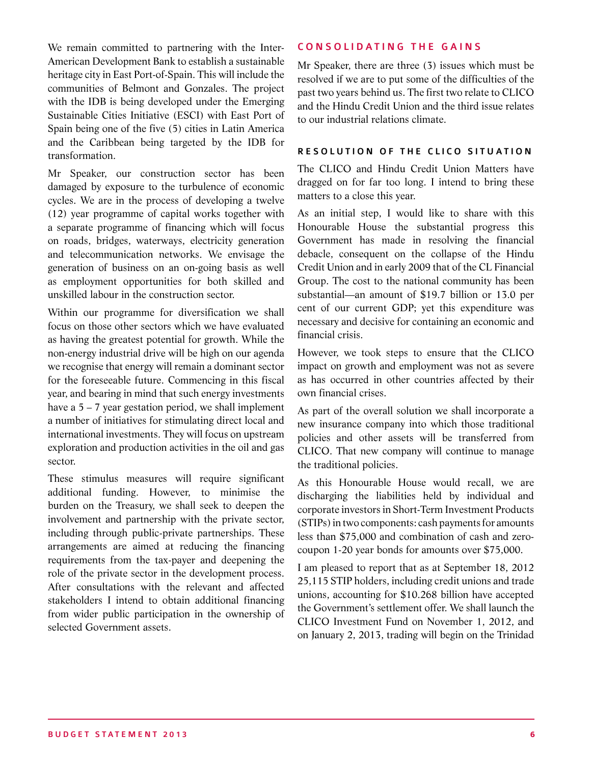We remain committed to partnering with the Inter-American Development Bank to establish a sustainable heritage city in East Port-of-Spain. This will include the communities of Belmont and Gonzales. The project with the IDB is being developed under the Emerging Sustainable Cities Initiative (ESCI) with East Port of Spain being one of the five (5) cities in Latin America and the Caribbean being targeted by the IDB for transformation.

Mr Speaker, our construction sector has been damaged by exposure to the turbulence of economic cycles. We are in the process of developing a twelve (12) year programme of capital works together with a separate programme of financing which will focus on roads, bridges, waterways, electricity generation and telecommunication networks. We envisage the generation of business on an on-going basis as well as employment opportunities for both skilled and unskilled labour in the construction sector.

Within our programme for diversification we shall focus on those other sectors which we have evaluated as having the greatest potential for growth. While the non-energy industrial drive will be high on our agenda we recognise that energy will remain a dominant sector for the foreseeable future. Commencing in this fiscal year, and bearing in mind that such energy investments have a  $5 - 7$  year gestation period, we shall implement a number of initiatives for stimulating direct local and international investments. They will focus on upstream exploration and production activities in the oil and gas sector.

These stimulus measures will require significant additional funding. However, to minimise the burden on the Treasury, we shall seek to deepen the involvement and partnership with the private sector, including through public-private partnerships. These arrangements are aimed at reducing the financing requirements from the tax-payer and deepening the role of the private sector in the development process. After consultations with the relevant and affected stakeholders I intend to obtain additional financing from wider public participation in the ownership of selected Government assets.

#### CONSOLIDATING THE GAINS

Mr Speaker, there are three (3) issues which must be resolved if we are to put some of the difficulties of the past two years behind us. The first two relate to CLICO and the Hindu Credit Union and the third issue relates to our industrial relations climate.

#### RESOLUTION OF THE CLICO SITUATION

The CLICO and Hindu Credit Union Matters have dragged on for far too long. I intend to bring these matters to a close this year.

As an initial step, I would like to share with this Honourable House the substantial progress this Government has made in resolving the financial debacle, consequent on the collapse of the Hindu Credit Union and in early 2009 that of the CL Financial Group. The cost to the national community has been substantial—an amount of \$19.7 billion or 13.0 per cent of our current GDP; yet this expenditure was necessary and decisive for containing an economic and financial crisis.

However, we took steps to ensure that the CLICO impact on growth and employment was not as severe as has occurred in other countries affected by their own financial crises.

As part of the overall solution we shall incorporate a new insurance company into which those traditional policies and other assets will be transferred from CLICO. That new company will continue to manage the traditional policies.

As this Honourable House would recall, we are discharging the liabilities held by individual and corporate investors in Short-Term Investment Products (STIPs) in two components: cash payments for amounts less than \$75,000 and combination of cash and zerocoupon 1-20 year bonds for amounts over \$75,000.

I am pleased to report that as at September 18, 2012 25,115 STIP holders, including credit unions and trade unions, accounting for \$10.268 billion have accepted the Government's settlement offer. We shall launch the CLICO Investment Fund on November 1, 2012, and on January 2, 2013, trading will begin on the Trinidad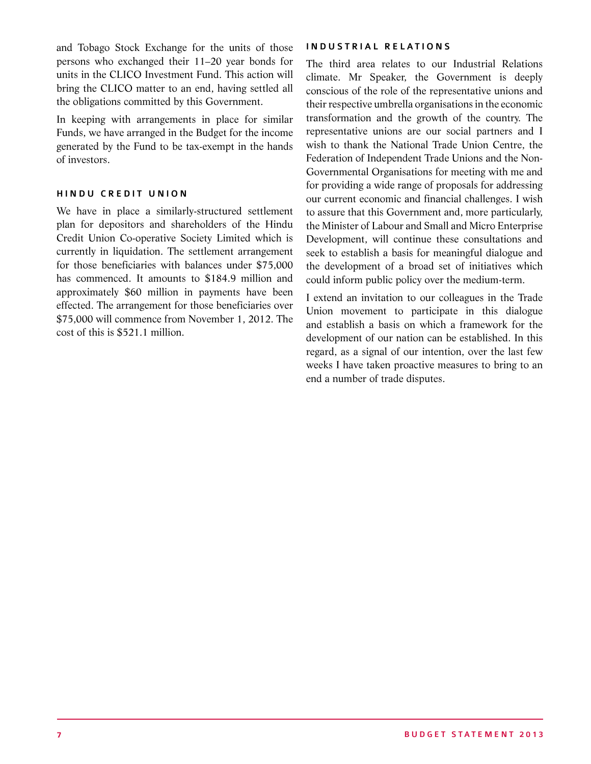and Tobago Stock Exchange for the units of those persons who exchanged their 11–20 year bonds for units in the CLICO Investment Fund. This action will bring the CLICO matter to an end, having settled all the obligations committed by this Government.

In keeping with arrangements in place for similar Funds, we have arranged in the Budget for the income generated by the Fund to be tax-exempt in the hands of investors.

#### HINDU CREDIT UNION

We have in place a similarly-structured settlement plan for depositors and shareholders of the Hindu Credit Union Co-operative Society Limited which is currently in liquidation. The settlement arrangement for those beneficiaries with balances under \$75,000 has commenced. It amounts to \$184.9 million and approximately \$60 million in payments have been effected. The arrangement for those beneficiaries over \$75,000 will commence from November 1, 2012. The cost of this is \$521.1 million.

#### INDUSTRIAL RELATIONS

The third area relates to our Industrial Relations climate. Mr Speaker, the Government is deeply conscious of the role of the representative unions and their respective umbrella organisations in the economic transformation and the growth of the country. The representative unions are our social partners and I wish to thank the National Trade Union Centre, the Federation of Independent Trade Unions and the Non-Governmental Organisations for meeting with me and for providing a wide range of proposals for addressing our current economic and financial challenges. I wish to assure that this Government and, more particularly, the Minister of Labour and Small and Micro Enterprise Development, will continue these consultations and seek to establish a basis for meaningful dialogue and the development of a broad set of initiatives which could inform public policy over the medium-term.

I extend an invitation to our colleagues in the Trade Union movement to participate in this dialogue and establish a basis on which a framework for the development of our nation can be established. In this regard, as a signal of our intention, over the last few weeks I have taken proactive measures to bring to an end a number of trade disputes.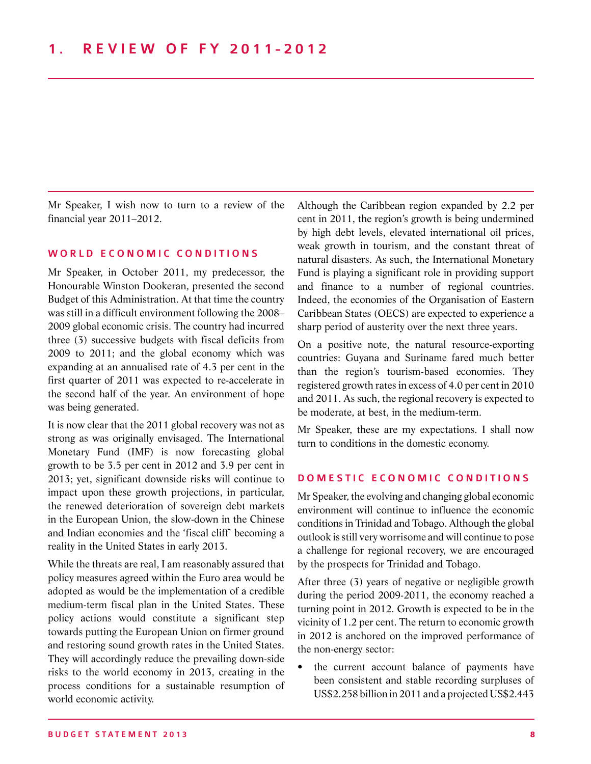Mr Speaker, I wish now to turn to a review of the financial year 2011–2012.

#### WORLD ECONOMIC CONDITIONS

Mr Speaker, in October 2011, my predecessor, the Honourable Winston Dookeran, presented the second Budget of this Administration. At that time the country was still in a difficult environment following the 2008– 2009 global economic crisis. The country had incurred three (3) successive budgets with fiscal deficits from 2009 to 2011; and the global economy which was expanding at an annualised rate of 4.3 per cent in the first quarter of 2011 was expected to re-accelerate in the second half of the year. An environment of hope was being generated.

It is now clear that the 2011 global recovery was not as strong as was originally envisaged. The International Monetary Fund (IMF) is now forecasting global growth to be 3.5 per cent in 2012 and 3.9 per cent in 2013; yet, significant downside risks will continue to impact upon these growth projections, in particular, the renewed deterioration of sovereign debt markets in the European Union, the slow-down in the Chinese and Indian economies and the 'fiscal cliff' becoming a reality in the United States in early 2013.

While the threats are real, I am reasonably assured that policy measures agreed within the Euro area would be adopted as would be the implementation of a credible medium-term fiscal plan in the United States. These policy actions would constitute a significant step towards putting the European Union on firmer ground and restoring sound growth rates in the United States. They will accordingly reduce the prevailing down-side risks to the world economy in 2013, creating in the process conditions for a sustainable resumption of world economic activity.

Although the Caribbean region expanded by 2.2 per cent in 2011, the region's growth is being undermined by high debt levels, elevated international oil prices, weak growth in tourism, and the constant threat of natural disasters. As such, the International Monetary Fund is playing a significant role in providing support and finance to a number of regional countries. Indeed, the economies of the Organisation of Eastern Caribbean States (OECS) are expected to experience a sharp period of austerity over the next three years.

On a positive note, the natural resource-exporting countries: Guyana and Suriname fared much better than the region's tourism-based economies. They registered growth rates in excess of 4.0 per cent in 2010 and 2011. As such, the regional recovery is expected to be moderate, at best, in the medium-term.

Mr Speaker, these are my expectations. I shall now turn to conditions in the domestic economy.

#### DOMESTIC ECONOMIC CONDITIONS

Mr Speaker, the evolving and changing global economic environment will continue to influence the economic conditions in Trinidad and Tobago. Although the global outlook is still very worrisome and will continue to pose a challenge for regional recovery, we are encouraged by the prospects for Trinidad and Tobago.

After three (3) years of negative or negligible growth during the period 2009-2011, the economy reached a turning point in 2012. Growth is expected to be in the vicinity of 1.2 per cent. The return to economic growth in 2012 is anchored on the improved performance of the non-energy sector:

the current account balance of payments have been consistent and stable recording surpluses of US\$2.258 billion in 2011 and a projected US\$2.443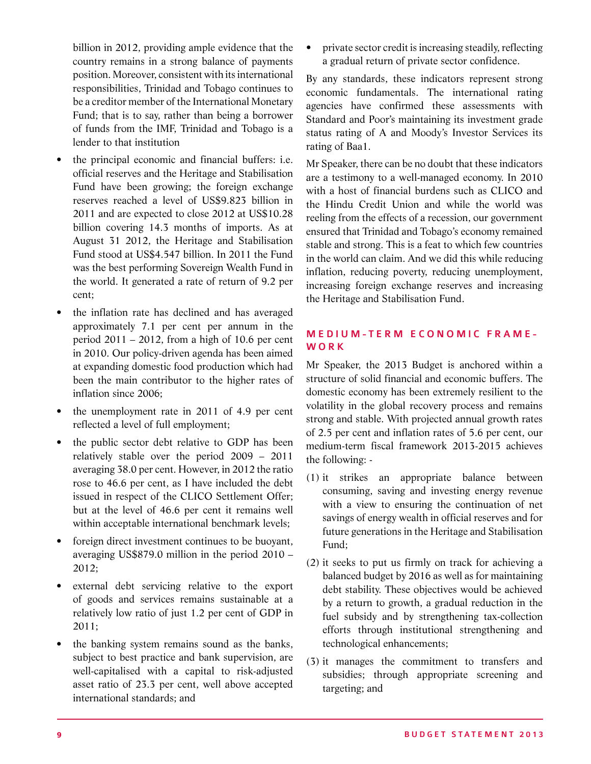billion in 2012, providing ample evidence that the country remains in a strong balance of payments position. Moreover, consistent with its international responsibilities, Trinidad and Tobago continues to be a creditor member of the International Monetary Fund; that is to say, rather than being a borrower of funds from the IMF, Trinidad and Tobago is a lender to that institution

- the principal economic and financial buffers: i.e. official reserves and the Heritage and Stabilisation Fund have been growing; the foreign exchange reserves reached a level of US\$9.823 billion in 2011 and are expected to close 2012 at US\$10.28 billion covering 14.3 months of imports. As at August 31 2012, the Heritage and Stabilisation Fund stood at US\$4.547 billion. In 2011 the Fund was the best performing Sovereign Wealth Fund in the world. It generated a rate of return of 9.2 per cent;
- the inflation rate has declined and has averaged approximately 7.1 per cent per annum in the period  $2011 - 2012$ , from a high of 10.6 per cent in 2010. Our policy-driven agenda has been aimed at expanding domestic food production which had been the main contributor to the higher rates of inflation since 2006;
- the unemployment rate in 2011 of 4.9 per cent reflected a level of full employment;
- the public sector debt relative to GDP has been relatively stable over the period 2009 – 2011 averaging 38.0 per cent. However, in 2012 the ratio rose to 46.6 per cent, as I have included the debt issued in respect of the CLICO Settlement Offer; but at the level of 46.6 per cent it remains well within acceptable international benchmark levels;
- foreign direct investment continues to be buoyant, averaging US\$879.0 million in the period 2010 – 2012;
- external debt servicing relative to the export of goods and services remains sustainable at a relatively low ratio of just 1.2 per cent of GDP in 2011;
- the banking system remains sound as the banks, subject to best practice and bank supervision, are well-capitalised with a capital to risk-adjusted asset ratio of 23.3 per cent, well above accepted international standards; and

private sector credit is increasing steadily, reflecting a gradual return of private sector confidence.

By any standards, these indicators represent strong economic fundamentals. The international rating agencies have confirmed these assessments with Standard and Poor's maintaining its investment grade status rating of A and Moody's Investor Services its rating of Baa1.

Mr Speaker, there can be no doubt that these indicators are a testimony to a well-managed economy. In 2010 with a host of financial burdens such as CLICO and the Hindu Credit Union and while the world was reeling from the effects of a recession, our government ensured that Trinidad and Tobago's economy remained stable and strong. This is a feat to which few countries in the world can claim. And we did this while reducing inflation, reducing poverty, reducing unemployment, increasing foreign exchange reserves and increasing the Heritage and Stabilisation Fund.

#### M edium - T erm E c o n o mic Frame - WORK

Mr Speaker, the 2013 Budget is anchored within a structure of solid financial and economic buffers. The domestic economy has been extremely resilient to the volatility in the global recovery process and remains strong and stable. With projected annual growth rates of 2.5 per cent and inflation rates of 5.6 per cent, our medium-term fiscal framework 2013-2015 achieves the following: -

- (1) it strikes an appropriate balance between consuming, saving and investing energy revenue with a view to ensuring the continuation of net savings of energy wealth in official reserves and for future generations in the Heritage and Stabilisation Fund;
- (2) it seeks to put us firmly on track for achieving a balanced budget by 2016 as well as for maintaining debt stability. These objectives would be achieved by a return to growth, a gradual reduction in the fuel subsidy and by strengthening tax-collection efforts through institutional strengthening and technological enhancements;
- (3) it manages the commitment to transfers and subsidies; through appropriate screening and targeting; and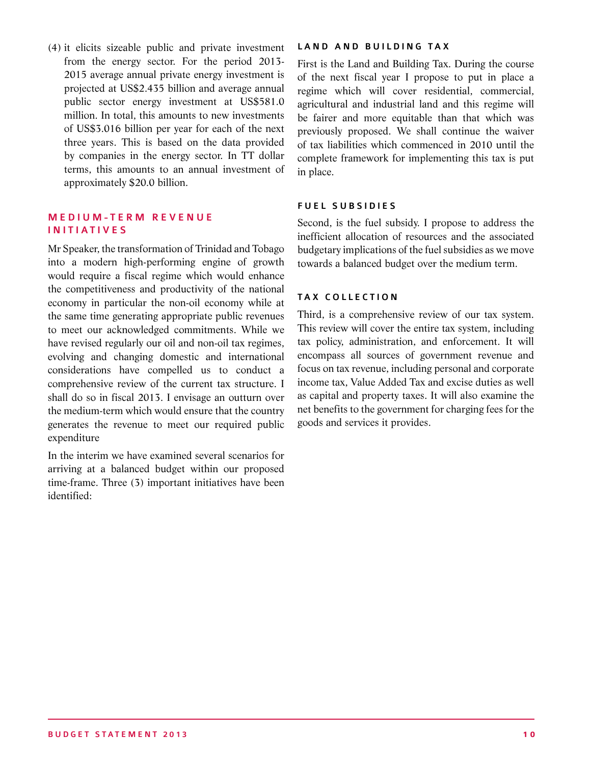(4) it elicits sizeable public and private investment from the energy sector. For the period 2013- 2015 average annual private energy investment is projected at US\$2.435 billion and average annual public sector energy investment at US\$581.0 million. In total, this amounts to new investments of US\$3.016 billion per year for each of the next three years. This is based on the data provided by companies in the energy sector. In TT dollar terms, this amounts to an annual investment of approximately \$20.0 billion.

#### M F D I U M - T F R M R F V F N U F I nitiatives

Mr Speaker, the transformation of Trinidad and Tobago into a modern high-performing engine of growth would require a fiscal regime which would enhance the competitiveness and productivity of the national economy in particular the non-oil economy while at the same time generating appropriate public revenues to meet our acknowledged commitments. While we have revised regularly our oil and non-oil tax regimes, evolving and changing domestic and international considerations have compelled us to conduct a comprehensive review of the current tax structure. I shall do so in fiscal 2013. I envisage an outturn over the medium-term which would ensure that the country generates the revenue to meet our required public expenditure

In the interim we have examined several scenarios for arriving at a balanced budget within our proposed time-frame. Three (3) important initiatives have been identified:

#### LAND AND BUILDING TAX

First is the Land and Building Tax. During the course of the next fiscal year I propose to put in place a regime which will cover residential, commercial, agricultural and industrial land and this regime will be fairer and more equitable than that which was previously proposed. We shall continue the waiver of tax liabilities which commenced in 2010 until the complete framework for implementing this tax is put in place.

#### FUEL SUBSIDIES

Second, is the fuel subsidy. I propose to address the inefficient allocation of resources and the associated budgetary implications of the fuel subsidies as we move towards a balanced budget over the medium term.

#### TAX COLLECTION

Third, is a comprehensive review of our tax system. This review will cover the entire tax system, including tax policy, administration, and enforcement. It will encompass all sources of government revenue and focus on tax revenue, including personal and corporate income tax, Value Added Tax and excise duties as well as capital and property taxes. It will also examine the net benefits to the government for charging fees for the goods and services it provides.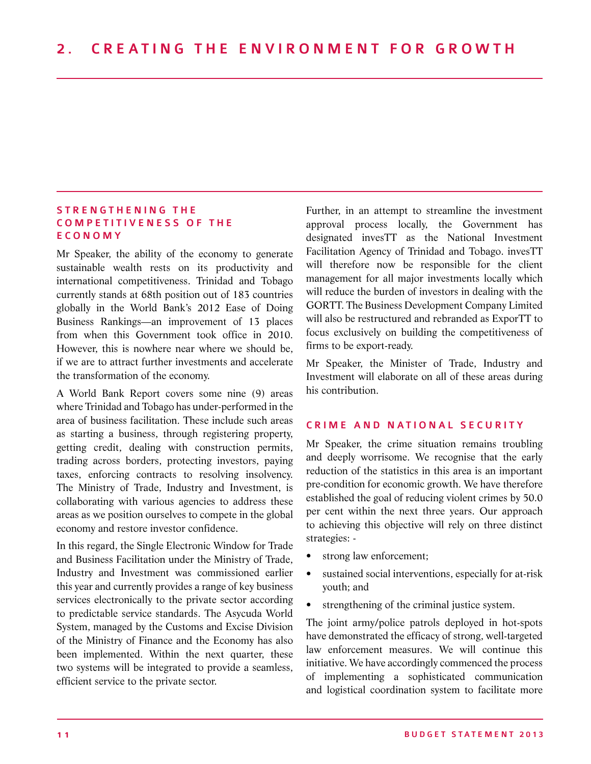#### STRENGTHENING THE COMPETITIVENESS OF THE **E C O N O M Y**

Mr Speaker, the ability of the economy to generate sustainable wealth rests on its productivity and international competitiveness. Trinidad and Tobago currently stands at 68th position out of 183 countries globally in the World Bank's 2012 Ease of Doing Business Rankings—an improvement of 13 places from when this Government took office in 2010. However, this is nowhere near where we should be, if we are to attract further investments and accelerate the transformation of the economy.

A World Bank Report covers some nine (9) areas where Trinidad and Tobago has under-performed in the area of business facilitation. These include such areas as starting a business, through registering property, getting credit, dealing with construction permits, trading across borders, protecting investors, paying taxes, enforcing contracts to resolving insolvency. The Ministry of Trade, Industry and Investment, is collaborating with various agencies to address these areas as we position ourselves to compete in the global economy and restore investor confidence.

In this regard, the Single Electronic Window for Trade and Business Facilitation under the Ministry of Trade, Industry and Investment was commissioned earlier this year and currently provides a range of key business services electronically to the private sector according to predictable service standards. The Asycuda World System, managed by the Customs and Excise Division of the Ministry of Finance and the Economy has also been implemented. Within the next quarter, these two systems will be integrated to provide a seamless, efficient service to the private sector.

Further, in an attempt to streamline the investment approval process locally, the Government has designated invesTT as the National Investment Facilitation Agency of Trinidad and Tobago. invesTT will therefore now be responsible for the client management for all major investments locally which will reduce the burden of investors in dealing with the GORTT. The Business Development Company Limited will also be restructured and rebranded as ExporTT to focus exclusively on building the competitiveness of firms to be export-ready.

Mr Speaker, the Minister of Trade, Industry and Investment will elaborate on all of these areas during his contribution.

#### CRIME AND NATIONAL SECURITY

Mr Speaker, the crime situation remains troubling and deeply worrisome. We recognise that the early reduction of the statistics in this area is an important pre-condition for economic growth. We have therefore established the goal of reducing violent crimes by 50.0 per cent within the next three years. Our approach to achieving this objective will rely on three distinct strategies: -

- strong law enforcement;
- sustained social interventions, especially for at-risk youth; and
- strengthening of the criminal justice system.

The joint army/police patrols deployed in hot-spots have demonstrated the efficacy of strong, well-targeted law enforcement measures. We will continue this initiative. We have accordingly commenced the process of implementing a sophisticated communication and logistical coordination system to facilitate more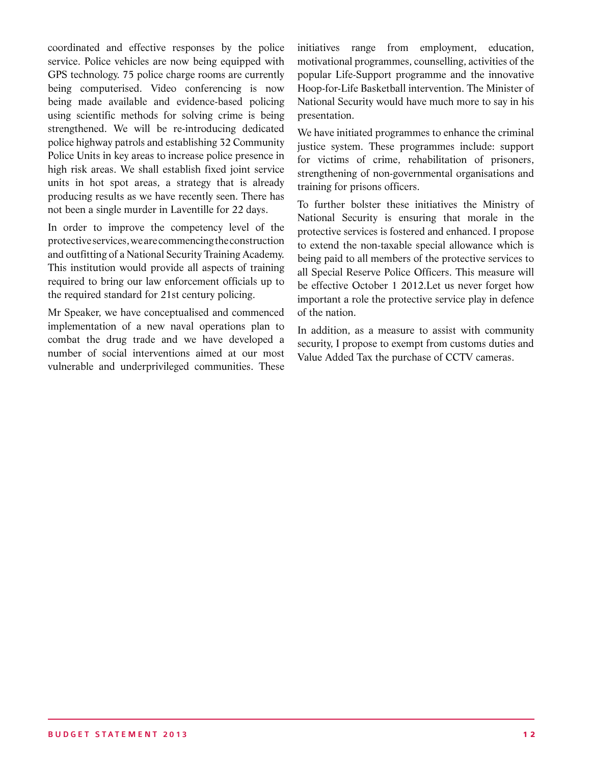coordinated and effective responses by the police service. Police vehicles are now being equipped with GPS technology. 75 police charge rooms are currently being computerised. Video conferencing is now being made available and evidence-based policing using scientific methods for solving crime is being strengthened. We will be re-introducing dedicated police highway patrols and establishing 32 Community Police Units in key areas to increase police presence in high risk areas. We shall establish fixed joint service units in hot spot areas, a strategy that is already producing results as we have recently seen. There has not been a single murder in Laventille for 22 days.

In order to improve the competency level of the protective services, we are commencing the construction and outfitting of a National Security Training Academy. This institution would provide all aspects of training required to bring our law enforcement officials up to the required standard for 21st century policing.

Mr Speaker, we have conceptualised and commenced implementation of a new naval operations plan to combat the drug trade and we have developed a number of social interventions aimed at our most vulnerable and underprivileged communities. These initiatives range from employment, education, motivational programmes, counselling, activities of the popular Life-Support programme and the innovative Hoop-for-Life Basketball intervention. The Minister of National Security would have much more to say in his presentation.

We have initiated programmes to enhance the criminal justice system. These programmes include: support for victims of crime, rehabilitation of prisoners, strengthening of non-governmental organisations and training for prisons officers.

To further bolster these initiatives the Ministry of National Security is ensuring that morale in the protective services is fostered and enhanced. I propose to extend the non-taxable special allowance which is being paid to all members of the protective services to all Special Reserve Police Officers. This measure will be effective October 1 2012.Let us never forget how important a role the protective service play in defence of the nation.

In addition, as a measure to assist with community security, I propose to exempt from customs duties and Value Added Tax the purchase of CCTV cameras.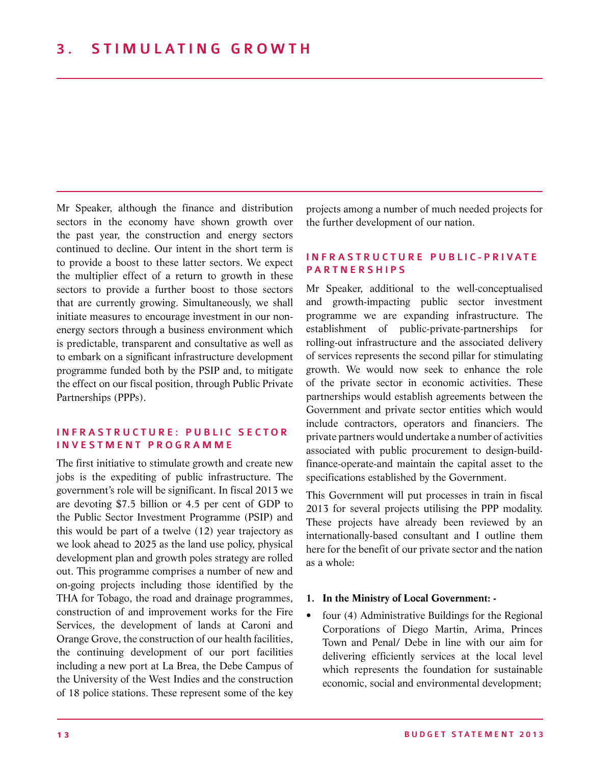Mr Speaker, although the finance and distribution sectors in the economy have shown growth over the past year, the construction and energy sectors continued to decline. Our intent in the short term is to provide a boost to these latter sectors. We expect the multiplier effect of a return to growth in these sectors to provide a further boost to those sectors that are currently growing. Simultaneously, we shall initiate measures to encourage investment in our nonenergy sectors through a business environment which is predictable, transparent and consultative as well as to embark on a significant infrastructure development programme funded both by the PSIP and, to mitigate the effect on our fiscal position, through Public Private Partnerships (PPPs).

#### INFRASTRUCTURE: PUBLIC SECTOR I nvestment Pr o gramme

The first initiative to stimulate growth and create new jobs is the expediting of public infrastructure. The government's role will be significant. In fiscal 2013 we are devoting \$7.5 billion or 4.5 per cent of GDP to the Public Sector Investment Programme (PSIP) and this would be part of a twelve (12) year trajectory as we look ahead to 2025 as the land use policy, physical development plan and growth poles strategy are rolled out. This programme comprises a number of new and on-going projects including those identified by the THA for Tobago, the road and drainage programmes, construction of and improvement works for the Fire Services, the development of lands at Caroni and Orange Grove, the construction of our health facilities, the continuing development of our port facilities including a new port at La Brea, the Debe Campus of the University of the West Indies and the construction of 18 police stations. These represent some of the key

projects among a number of much needed projects for the further development of our nation.

#### IN FRASTRUCTURE PUBLIC-PRIVATE **PARTNERSHIPS**

Mr Speaker, additional to the well-conceptualised and growth-impacting public sector investment programme we are expanding infrastructure. The establishment of public-private-partnerships for rolling-out infrastructure and the associated delivery of services represents the second pillar for stimulating growth. We would now seek to enhance the role of the private sector in economic activities. These partnerships would establish agreements between the Government and private sector entities which would include contractors, operators and financiers. The private partners would undertake a number of activities associated with public procurement to design-buildfinance-operate-and maintain the capital asset to the specifications established by the Government.

This Government will put processes in train in fiscal 2013 for several projects utilising the PPP modality. These projects have already been reviewed by an internationally-based consultant and I outline them here for the benefit of our private sector and the nation as a whole:

#### **1. In the Ministry of Local Government: -**

four (4) Administrative Buildings for the Regional Corporations of Diego Martin, Arima, Princes Town and Penal/ Debe in line with our aim for delivering efficiently services at the local level which represents the foundation for sustainable economic, social and environmental development;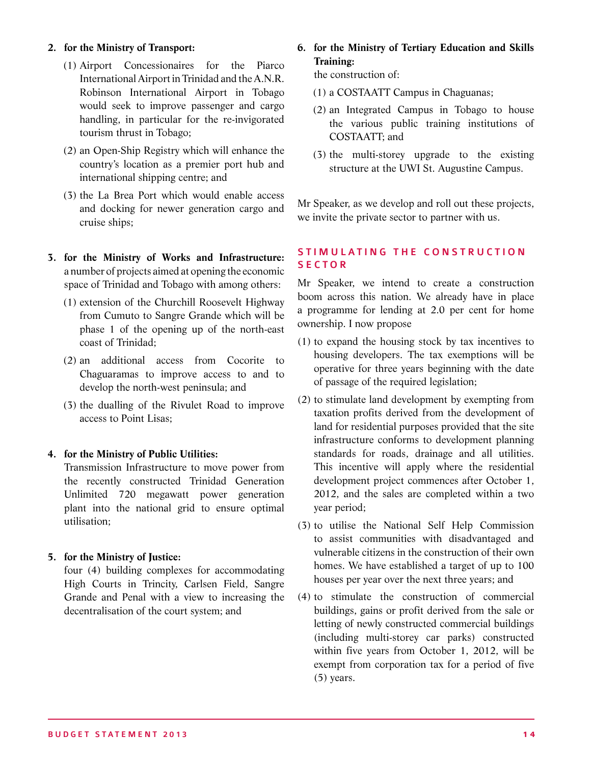#### **2. for the Ministry of Transport:**

- (1) Airport Concessionaires for the Piarco International Airport in Trinidad and the A.N.R. Robinson International Airport in Tobago would seek to improve passenger and cargo handling, in particular for the re-invigorated tourism thrust in Tobago;
- (2) an Open-Ship Registry which will enhance the country's location as a premier port hub and international shipping centre; and
- (3) the La Brea Port which would enable access and docking for newer generation cargo and cruise ships;
- **3. for the Ministry of Works and Infrastructure:**  a number of projects aimed at opening the economic space of Trinidad and Tobago with among others:
	- (1) extension of the Churchill Roosevelt Highway from Cumuto to Sangre Grande which will be phase 1 of the opening up of the north-east coast of Trinidad;
	- (2) an additional access from Cocorite to Chaguaramas to improve access to and to develop the north-west peninsula; and
	- (3) the dualling of the Rivulet Road to improve access to Point Lisas;

#### **4. for the Ministry of Public Utilities:**

Transmission Infrastructure to move power from the recently constructed Trinidad Generation Unlimited 720 megawatt power generation plant into the national grid to ensure optimal utilisation;

#### **5. for the Ministry of Justice:**

four (4) building complexes for accommodating High Courts in Trincity, Carlsen Field, Sangre Grande and Penal with a view to increasing the decentralisation of the court system; and

**6. for the Ministry of Tertiary Education and Skills Training:**

the construction of:

- (1) a COSTAATT Campus in Chaguanas;
- (2) an Integrated Campus in Tobago to house the various public training institutions of COSTAATT; and
- (3) the multi-storey upgrade to the existing structure at the UWI St. Augustine Campus.

Mr Speaker, as we develop and roll out these projects, we invite the private sector to partner with us.

#### STIMULATING THE CONSTRUCTION **SECTOR**

Mr Speaker, we intend to create a construction boom across this nation. We already have in place a programme for lending at 2.0 per cent for home ownership. I now propose

- (1) to expand the housing stock by tax incentives to housing developers. The tax exemptions will be operative for three years beginning with the date of passage of the required legislation;
- (2) to stimulate land development by exempting from taxation profits derived from the development of land for residential purposes provided that the site infrastructure conforms to development planning standards for roads, drainage and all utilities. This incentive will apply where the residential development project commences after October 1, 2012, and the sales are completed within a two year period;
- (3) to utilise the National Self Help Commission to assist communities with disadvantaged and vulnerable citizens in the construction of their own homes. We have established a target of up to 100 houses per year over the next three years; and
- (4) to stimulate the construction of commercial buildings, gains or profit derived from the sale or letting of newly constructed commercial buildings (including multi-storey car parks) constructed within five years from October 1, 2012, will be exempt from corporation tax for a period of five (5) years.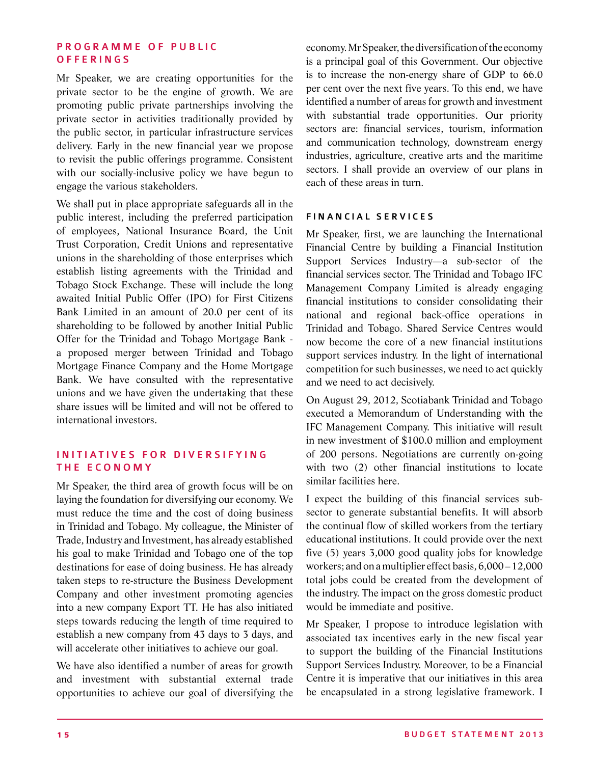#### PROGRAMME OF PUBLIC **OFFERINGS**

Mr Speaker, we are creating opportunities for the private sector to be the engine of growth. We are promoting public private partnerships involving the private sector in activities traditionally provided by the public sector, in particular infrastructure services delivery. Early in the new financial year we propose to revisit the public offerings programme. Consistent with our socially-inclusive policy we have begun to engage the various stakeholders.

We shall put in place appropriate safeguards all in the public interest, including the preferred participation of employees, National Insurance Board, the Unit Trust Corporation, Credit Unions and representative unions in the shareholding of those enterprises which establish listing agreements with the Trinidad and Tobago Stock Exchange. These will include the long awaited Initial Public Offer (IPO) for First Citizens Bank Limited in an amount of 20.0 per cent of its shareholding to be followed by another Initial Public Offer for the Trinidad and Tobago Mortgage Bank a proposed merger between Trinidad and Tobago Mortgage Finance Company and the Home Mortgage Bank. We have consulted with the representative unions and we have given the undertaking that these share issues will be limited and will not be offered to international investors.

#### INITIATIVES FOR DIVERSIFYING THE ECONOMY

Mr Speaker, the third area of growth focus will be on laying the foundation for diversifying our economy. We must reduce the time and the cost of doing business in Trinidad and Tobago. My colleague, the Minister of Trade, Industry and Investment, has already established his goal to make Trinidad and Tobago one of the top destinations for ease of doing business. He has already taken steps to re-structure the Business Development Company and other investment promoting agencies into a new company Export TT. He has also initiated steps towards reducing the length of time required to establish a new company from 43 days to 3 days, and will accelerate other initiatives to achieve our goal.

We have also identified a number of areas for growth and investment with substantial external trade opportunities to achieve our goal of diversifying the

economy. Mr Speaker, the diversification of the economy is a principal goal of this Government. Our objective is to increase the non-energy share of GDP to 66.0 per cent over the next five years. To this end, we have identified a number of areas for growth and investment with substantial trade opportunities. Our priority sectors are: financial services, tourism, information and communication technology, downstream energy industries, agriculture, creative arts and the maritime sectors. I shall provide an overview of our plans in each of these areas in turn.

#### FINANCIAL SERVICES

Mr Speaker, first, we are launching the International Financial Centre by building a Financial Institution Support Services Industry—a sub-sector of the financial services sector. The Trinidad and Tobago IFC Management Company Limited is already engaging financial institutions to consider consolidating their national and regional back-office operations in Trinidad and Tobago. Shared Service Centres would now become the core of a new financial institutions support services industry. In the light of international competition for such businesses, we need to act quickly and we need to act decisively.

On August 29, 2012, Scotiabank Trinidad and Tobago executed a Memorandum of Understanding with the IFC Management Company. This initiative will result in new investment of \$100.0 million and employment of 200 persons. Negotiations are currently on-going with two (2) other financial institutions to locate similar facilities here.

I expect the building of this financial services subsector to generate substantial benefits. It will absorb the continual flow of skilled workers from the tertiary educational institutions. It could provide over the next five (5) years 3,000 good quality jobs for knowledge workers; and on a multiplier effect basis, 6,000 – 12,000 total jobs could be created from the development of the industry. The impact on the gross domestic product would be immediate and positive.

Mr Speaker, I propose to introduce legislation with associated tax incentives early in the new fiscal year to support the building of the Financial Institutions Support Services Industry. Moreover, to be a Financial Centre it is imperative that our initiatives in this area be encapsulated in a strong legislative framework. I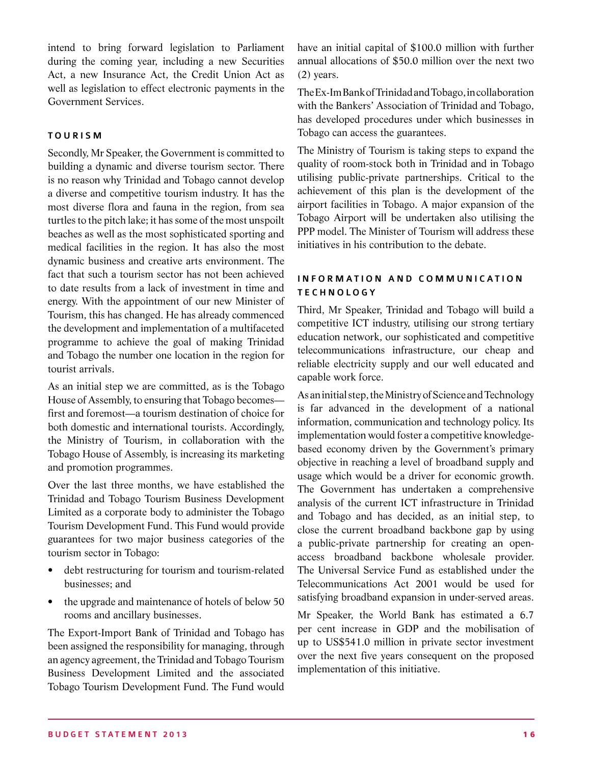intend to bring forward legislation to Parliament during the coming year, including a new Securities Act, a new Insurance Act, the Credit Union Act as well as legislation to effect electronic payments in the Government Services.

#### **TOURISM**

Secondly, Mr Speaker, the Government is committed to building a dynamic and diverse tourism sector. There is no reason why Trinidad and Tobago cannot develop a diverse and competitive tourism industry. It has the most diverse flora and fauna in the region, from sea turtles to the pitch lake; it has some of the most unspoilt beaches as well as the most sophisticated sporting and medical facilities in the region. It has also the most dynamic business and creative arts environment. The fact that such a tourism sector has not been achieved to date results from a lack of investment in time and energy. With the appointment of our new Minister of Tourism, this has changed. He has already commenced the development and implementation of a multifaceted programme to achieve the goal of making Trinidad and Tobago the number one location in the region for tourist arrivals.

As an initial step we are committed, as is the Tobago House of Assembly, to ensuring that Tobago becomes first and foremost—a tourism destination of choice for both domestic and international tourists. Accordingly, the Ministry of Tourism, in collaboration with the Tobago House of Assembly, is increasing its marketing and promotion programmes.

Over the last three months, we have established the Trinidad and Tobago Tourism Business Development Limited as a corporate body to administer the Tobago Tourism Development Fund. This Fund would provide guarantees for two major business categories of the tourism sector in Tobago:

- debt restructuring for tourism and tourism-related businesses; and
- the upgrade and maintenance of hotels of below 50 rooms and ancillary businesses.

The Export-Import Bank of Trinidad and Tobago has been assigned the responsibility for managing, through an agency agreement, the Trinidad and Tobago Tourism Business Development Limited and the associated Tobago Tourism Development Fund. The Fund would have an initial capital of \$100.0 million with further annual allocations of \$50.0 million over the next two (2) years.

The Ex-Im Bank of Trinidad and Tobago, in collaboration with the Bankers' Association of Trinidad and Tobago, has developed procedures under which businesses in Tobago can access the guarantees.

The Ministry of Tourism is taking steps to expand the quality of room-stock both in Trinidad and in Tobago utilising public-private partnerships. Critical to the achievement of this plan is the development of the airport facilities in Tobago. A major expansion of the Tobago Airport will be undertaken also utilising the PPP model. The Minister of Tourism will address these initiatives in his contribution to the debate.

#### INFORMATION AND COMMUNICATION **TECHNOLOGY**

Third, Mr Speaker, Trinidad and Tobago will build a competitive ICT industry, utilising our strong tertiary education network, our sophisticated and competitive telecommunications infrastructure, our cheap and reliable electricity supply and our well educated and capable work force.

As an initial step, the Ministry of Science and Technology is far advanced in the development of a national information, communication and technology policy. Its implementation would foster a competitive knowledgebased economy driven by the Government's primary objective in reaching a level of broadband supply and usage which would be a driver for economic growth. The Government has undertaken a comprehensive analysis of the current ICT infrastructure in Trinidad and Tobago and has decided, as an initial step, to close the current broadband backbone gap by using a public-private partnership for creating an openaccess broadband backbone wholesale provider. The Universal Service Fund as established under the Telecommunications Act 2001 would be used for satisfying broadband expansion in under-served areas.

Mr Speaker, the World Bank has estimated a 6.7 per cent increase in GDP and the mobilisation of up to US\$541.0 million in private sector investment over the next five years consequent on the proposed implementation of this initiative.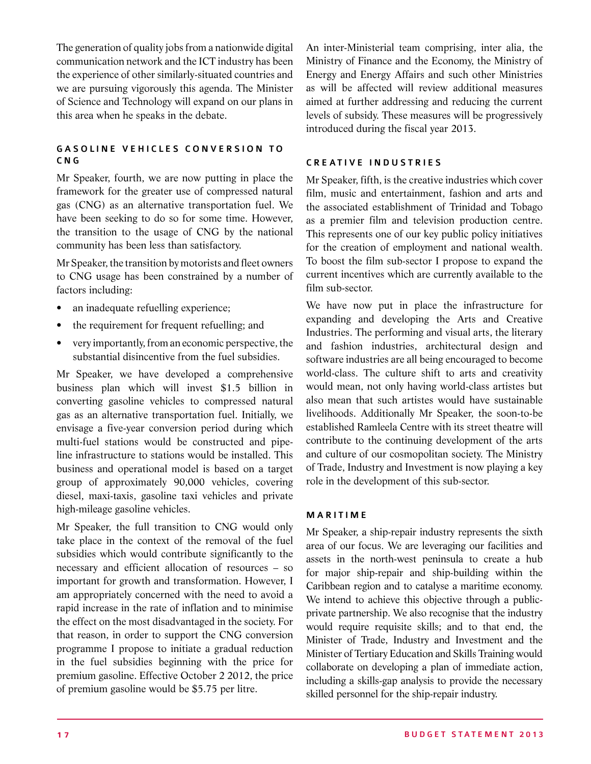The generation of quality jobs from a nationwide digital communication network and the ICT industry has been the experience of other similarly-situated countries and we are pursuing vigorously this agenda. The Minister of Science and Technology will expand on our plans in this area when he speaks in the debate.

#### GASOLINE VEHICLES CONVERSION TO CNG

Mr Speaker, fourth, we are now putting in place the framework for the greater use of compressed natural gas (CNG) as an alternative transportation fuel. We have been seeking to do so for some time. However, the transition to the usage of CNG by the national community has been less than satisfactory.

Mr Speaker, the transition by motorists and fleet owners to CNG usage has been constrained by a number of factors including:

- an inadequate refuelling experience;
- the requirement for frequent refuelling; and
- very importantly, from an economic perspective, the substantial disincentive from the fuel subsidies.

Mr Speaker, we have developed a comprehensive business plan which will invest \$1.5 billion in converting gasoline vehicles to compressed natural gas as an alternative transportation fuel. Initially, we envisage a five-year conversion period during which multi-fuel stations would be constructed and pipeline infrastructure to stations would be installed. This business and operational model is based on a target group of approximately 90,000 vehicles, covering diesel, maxi-taxis, gasoline taxi vehicles and private high-mileage gasoline vehicles.

Mr Speaker, the full transition to CNG would only take place in the context of the removal of the fuel subsidies which would contribute significantly to the necessary and efficient allocation of resources – so important for growth and transformation. However, I am appropriately concerned with the need to avoid a rapid increase in the rate of inflation and to minimise the effect on the most disadvantaged in the society. For that reason, in order to support the CNG conversion programme I propose to initiate a gradual reduction in the fuel subsidies beginning with the price for premium gasoline. Effective October 2 2012, the price of premium gasoline would be \$5.75 per litre.

An inter-Ministerial team comprising, inter alia, the Ministry of Finance and the Economy, the Ministry of Energy and Energy Affairs and such other Ministries as will be affected will review additional measures aimed at further addressing and reducing the current levels of subsidy. These measures will be progressively introduced during the fiscal year 2013.

#### CREATIVE INDUSTRIES

Mr Speaker, fifth, is the creative industries which cover film, music and entertainment, fashion and arts and the associated establishment of Trinidad and Tobago as a premier film and television production centre. This represents one of our key public policy initiatives for the creation of employment and national wealth. To boost the film sub-sector I propose to expand the current incentives which are currently available to the film sub-sector.

We have now put in place the infrastructure for expanding and developing the Arts and Creative Industries. The performing and visual arts, the literary and fashion industries, architectural design and software industries are all being encouraged to become world-class. The culture shift to arts and creativity would mean, not only having world-class artistes but also mean that such artistes would have sustainable livelihoods. Additionally Mr Speaker, the soon-to-be established Ramleela Centre with its street theatre will contribute to the continuing development of the arts and culture of our cosmopolitan society. The Ministry of Trade, Industry and Investment is now playing a key role in the development of this sub-sector.

#### **MARITIME**

Mr Speaker, a ship-repair industry represents the sixth area of our focus. We are leveraging our facilities and assets in the north-west peninsula to create a hub for major ship-repair and ship-building within the Caribbean region and to catalyse a maritime economy. We intend to achieve this objective through a publicprivate partnership. We also recognise that the industry would require requisite skills; and to that end, the Minister of Trade, Industry and Investment and the Minister of Tertiary Education and Skills Training would collaborate on developing a plan of immediate action, including a skills-gap analysis to provide the necessary skilled personnel for the ship-repair industry.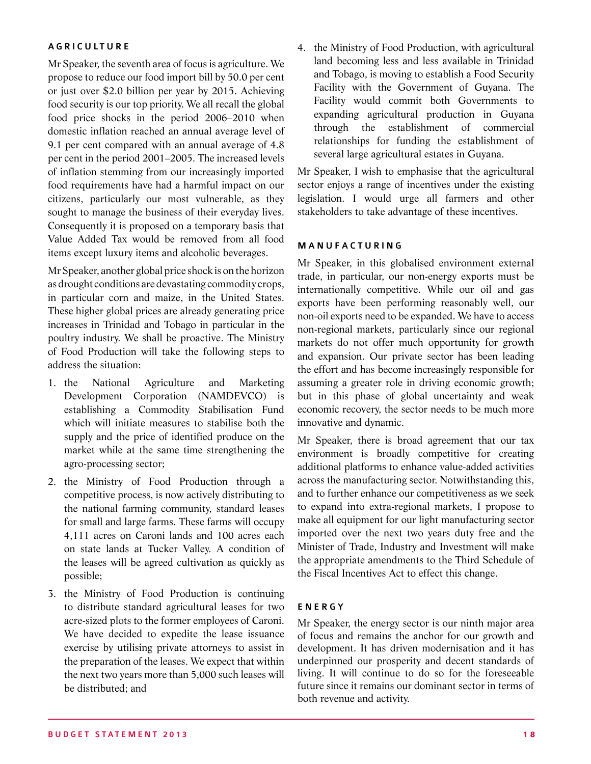#### **AGRICULTURE**

Mr Speaker, the seventh area of focus is agriculture. We propose to reduce our food import bill by 50.0 per cent or just over \$2.0 billion per year by 2015. Achieving food security is our top priority. We all recall the global food price shocks in the period 2006–2010 when domestic inflation reached an annual average level of 9.1 per cent compared with an annual average of 4.8 per cent in the period 2001–2005. The increased levels of inflation stemming from our increasingly imported food requirements have had a harmful impact on our citizens, particularly our most vulnerable, as they sought to manage the business of their everyday lives. Consequently it is proposed on a temporary basis that Value Added Tax would be removed from all food items except luxury items and alcoholic beverages.

Mr Speaker, another global price shock is on the horizon as drought conditions are devastating commodity crops, in particular corn and maize, in the United States. These higher global prices are already generating price increases in Trinidad and Tobago in particular in the poultry industry. We shall be proactive. The Ministry of Food Production will take the following steps to address the situation:

- 1. the National Agriculture and Marketing Development Corporation (NAMDEVCO) is establishing a Commodity Stabilisation Fund which will initiate measures to stabilise both the supply and the price of identified produce on the market while at the same time strengthening the agro-processing sector;
- 2. the Ministry of Food Production through a competitive process, is now actively distributing to the national farming community, standard leases for small and large farms. These farms will occupy 4,111 acres on Caroni lands and 100 acres each on state lands at Tucker Valley. A condition of the leases will be agreed cultivation as quickly as possible;
- 3. the Ministry of Food Production is continuing to distribute standard agricultural leases for two acre-sized plots to the former employees of Caroni. We have decided to expedite the lease issuance exercise by utilising private attorneys to assist in the preparation of the leases. We expect that within the next two years more than 5,000 such leases will be distributed; and

4. the Ministry of Food Production, with agricultural land becoming less and less available in Trinidad and Tobago, is moving to establish a Food Security Facility with the Government of Guyana. The Facility would commit both Governments to expanding agricultural production in Guyana through the establishment of commercial relationships for funding the establishment of several large agricultural estates in Guyana.

Mr Speaker, I wish to emphasise that the agricultural sector enjoys a range of incentives under the existing legislation. I would urge all farmers and other stakeholders to take advantage of these incentives.

#### **MANUFACTURING**

Mr Speaker, in this globalised environment external trade, in particular, our non-energy exports must be internationally competitive. While our oil and gas exports have been performing reasonably well, our non-oil exports need to be expanded. We have to access non-regional markets, particularly since our regional markets do not offer much opportunity for growth and expansion. Our private sector has been leading the effort and has become increasingly responsible for assuming a greater role in driving economic growth; but in this phase of global uncertainty and weak economic recovery, the sector needs to be much more innovative and dynamic.

Mr Speaker, there is broad agreement that our tax environment is broadly competitive for creating additional platforms to enhance value-added activities across the manufacturing sector. Notwithstanding this, and to further enhance our competitiveness as we seek to expand into extra-regional markets, I propose to make all equipment for our light manufacturing sector imported over the next two years duty free and the Minister of Trade, Industry and Investment will make the appropriate amendments to the Third Schedule of the Fiscal Incentives Act to effect this change.

#### **ENERGY**

Mr Speaker, the energy sector is our ninth major area of focus and remains the anchor for our growth and development. It has driven modernisation and it has underpinned our prosperity and decent standards of living. It will continue to do so for the foreseeable future since it remains our dominant sector in terms of both revenue and activity.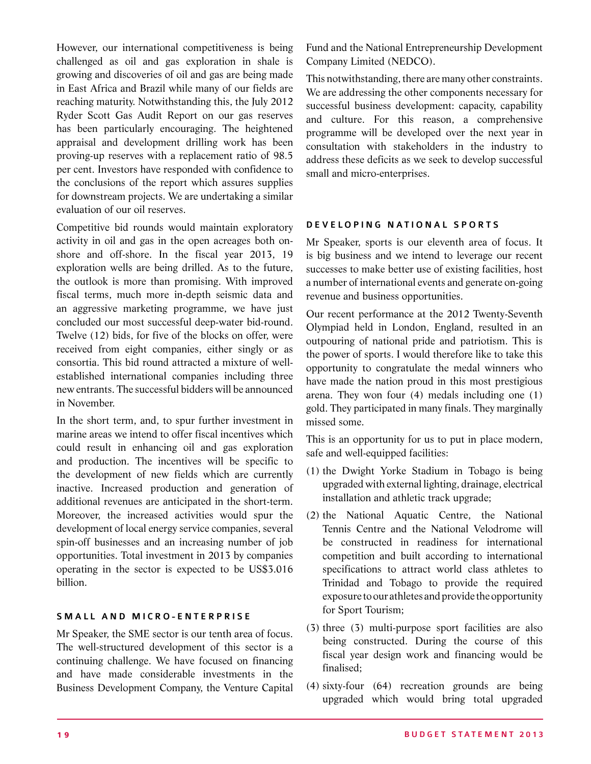However, our international competitiveness is being challenged as oil and gas exploration in shale is growing and discoveries of oil and gas are being made in East Africa and Brazil while many of our fields are reaching maturity. Notwithstanding this, the July 2012 Ryder Scott Gas Audit Report on our gas reserves has been particularly encouraging. The heightened appraisal and development drilling work has been proving-up reserves with a replacement ratio of 98.5 per cent. Investors have responded with confidence to the conclusions of the report which assures supplies for downstream projects. We are undertaking a similar evaluation of our oil reserves.

Competitive bid rounds would maintain exploratory activity in oil and gas in the open acreages both onshore and off-shore. In the fiscal year 2013, 19 exploration wells are being drilled. As to the future, the outlook is more than promising. With improved fiscal terms, much more in-depth seismic data and an aggressive marketing programme, we have just concluded our most successful deep-water bid-round. Twelve (12) bids, for five of the blocks on offer, were received from eight companies, either singly or as consortia. This bid round attracted a mixture of wellestablished international companies including three new entrants. The successful bidders will be announced in November.

In the short term, and, to spur further investment in marine areas we intend to offer fiscal incentives which could result in enhancing oil and gas exploration and production. The incentives will be specific to the development of new fields which are currently inactive. Increased production and generation of additional revenues are anticipated in the short-term. Moreover, the increased activities would spur the development of local energy service companies, several spin-off businesses and an increasing number of job opportunities. Total investment in 2013 by companies operating in the sector is expected to be US\$3.016 billion.

#### SMALL AND MICRO-ENTERPRISE

Mr Speaker, the SME sector is our tenth area of focus. The well-structured development of this sector is a continuing challenge. We have focused on financing and have made considerable investments in the Business Development Company, the Venture Capital

Fund and the National Entrepreneurship Development Company Limited (NEDCO).

This notwithstanding, there are many other constraints. We are addressing the other components necessary for successful business development: capacity, capability and culture. For this reason, a comprehensive programme will be developed over the next year in consultation with stakeholders in the industry to address these deficits as we seek to develop successful small and micro-enterprises.

#### DEVELOPING NATIONAL SPORTS

Mr Speaker, sports is our eleventh area of focus. It is big business and we intend to leverage our recent successes to make better use of existing facilities, host a number of international events and generate on-going revenue and business opportunities.

Our recent performance at the 2012 Twenty-Seventh Olympiad held in London, England, resulted in an outpouring of national pride and patriotism. This is the power of sports. I would therefore like to take this opportunity to congratulate the medal winners who have made the nation proud in this most prestigious arena. They won four (4) medals including one (1) gold. They participated in many finals. They marginally missed some.

This is an opportunity for us to put in place modern, safe and well-equipped facilities:

- (1) the Dwight Yorke Stadium in Tobago is being upgraded with external lighting, drainage, electrical installation and athletic track upgrade;
- (2) the National Aquatic Centre, the National Tennis Centre and the National Velodrome will be constructed in readiness for international competition and built according to international specifications to attract world class athletes to Trinidad and Tobago to provide the required exposure to our athletes and provide the opportunity for Sport Tourism;
- (3) three (3) multi-purpose sport facilities are also being constructed. During the course of this fiscal year design work and financing would be finalised;
- (4) sixty-four (64) recreation grounds are being upgraded which would bring total upgraded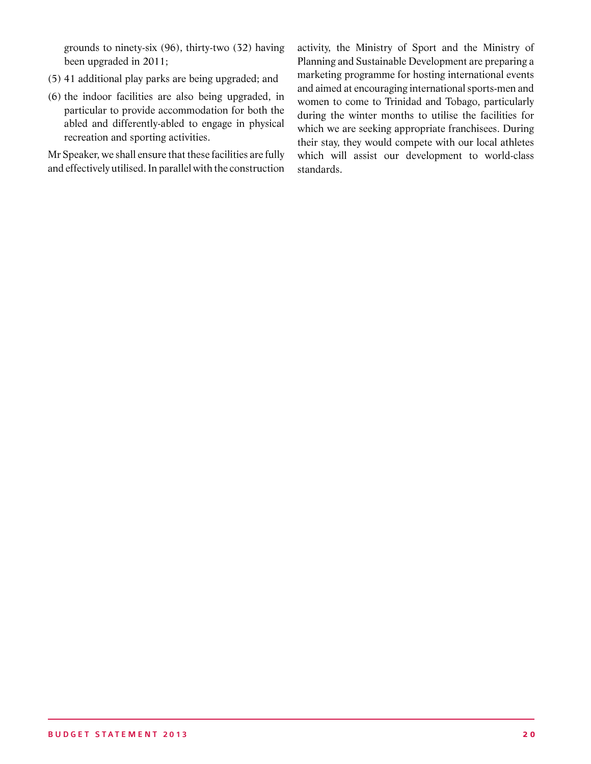grounds to ninety-six (96), thirty-two (32) having been upgraded in 2011;

- (5) 41 additional play parks are being upgraded; and
- (6) the indoor facilities are also being upgraded, in particular to provide accommodation for both the abled and differently-abled to engage in physical recreation and sporting activities.

Mr Speaker, we shall ensure that these facilities are fully and effectively utilised. In parallel with the construction activity, the Ministry of Sport and the Ministry of Planning and Sustainable Development are preparing a marketing programme for hosting international events and aimed at encouraging international sports-men and women to come to Trinidad and Tobago, particularly during the winter months to utilise the facilities for which we are seeking appropriate franchisees. During their stay, they would compete with our local athletes which will assist our development to world-class standards.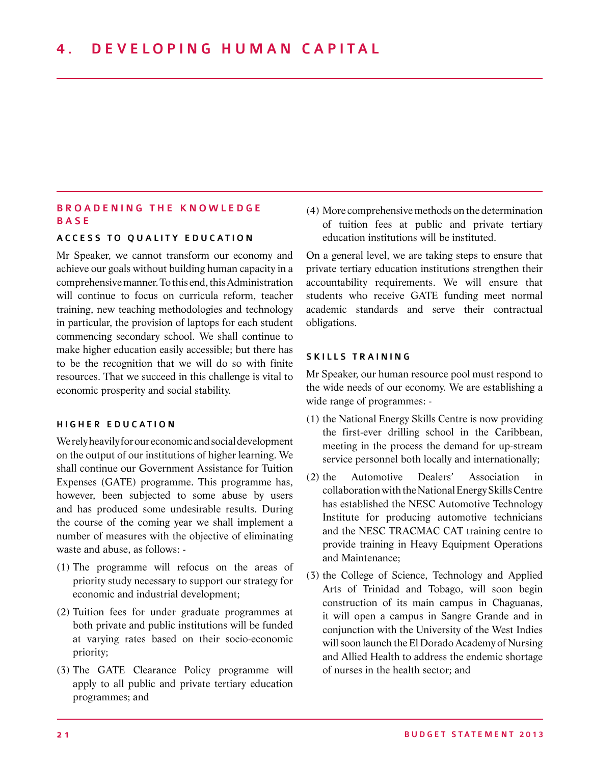#### BROADENING THE KNOWLEDGE **BASE**

#### ACCESS TO OUALITY EDUCATION

Mr Speaker, we cannot transform our economy and achieve our goals without building human capacity in a comprehensive manner. To this end, this Administration will continue to focus on curricula reform, teacher training, new teaching methodologies and technology in particular, the provision of laptops for each student commencing secondary school. We shall continue to make higher education easily accessible; but there has to be the recognition that we will do so with finite resources. That we succeed in this challenge is vital to economic prosperity and social stability.

#### HIGHER EDUCATION

We rely heavily for our economic and social development on the output of our institutions of higher learning. We shall continue our Government Assistance for Tuition Expenses (GATE) programme. This programme has, however, been subjected to some abuse by users and has produced some undesirable results. During the course of the coming year we shall implement a number of measures with the objective of eliminating waste and abuse, as follows: -

- (1) The programme will refocus on the areas of priority study necessary to support our strategy for economic and industrial development;
- (2) Tuition fees for under graduate programmes at both private and public institutions will be funded at varying rates based on their socio-economic priority;
- (3) The GATE Clearance Policy programme will apply to all public and private tertiary education programmes; and

(4) More comprehensive methods on the determination of tuition fees at public and private tertiary education institutions will be instituted.

On a general level, we are taking steps to ensure that private tertiary education institutions strengthen their accountability requirements. We will ensure that students who receive GATE funding meet normal academic standards and serve their contractual obligations.

#### SKILLS TRAINING

Mr Speaker, our human resource pool must respond to the wide needs of our economy. We are establishing a wide range of programmes: -

- (1) the National Energy Skills Centre is now providing the first-ever drilling school in the Caribbean, meeting in the process the demand for up-stream service personnel both locally and internationally;
- (2) the Automotive Dealers' Association in collaboration with the National Energy Skills Centre has established the NESC Automotive Technology Institute for producing automotive technicians and the NESC TRACMAC CAT training centre to provide training in Heavy Equipment Operations and Maintenance;
- (3) the College of Science, Technology and Applied Arts of Trinidad and Tobago, will soon begin construction of its main campus in Chaguanas, it will open a campus in Sangre Grande and in conjunction with the University of the West Indies will soon launch the El Dorado Academy of Nursing and Allied Health to address the endemic shortage of nurses in the health sector; and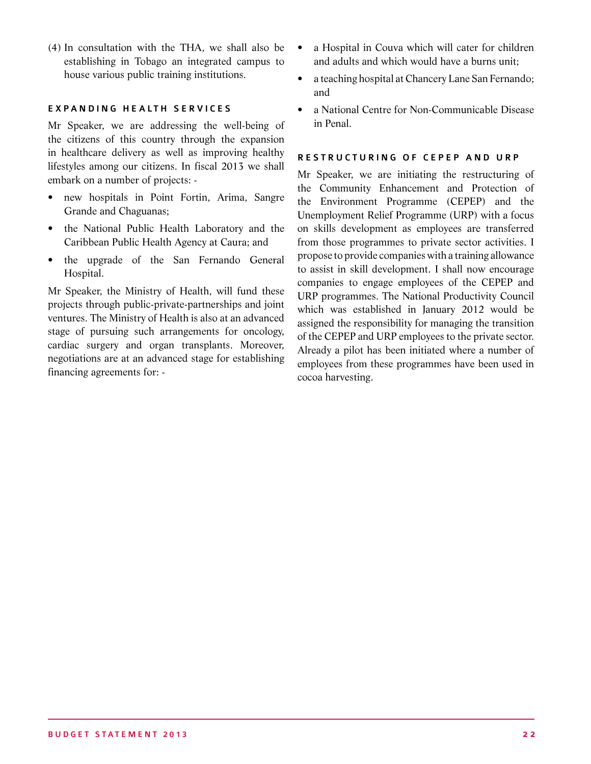(4) In consultation with the THA, we shall also be establishing in Tobago an integrated campus to house various public training institutions.

#### EXPANDING HEALTH SERVICES

Mr Speaker, we are addressing the well-being of the citizens of this country through the expansion in healthcare delivery as well as improving healthy lifestyles among our citizens. In fiscal 2013 we shall embark on a number of projects: -

- new hospitals in Point Fortin, Arima, Sangre Grande and Chaguanas;
- the National Public Health Laboratory and the Caribbean Public Health Agency at Caura; and
- the upgrade of the San Fernando General Hospital.

Mr Speaker, the Ministry of Health, will fund these projects through public-private-partnerships and joint ventures. The Ministry of Health is also at an advanced stage of pursuing such arrangements for oncology, cardiac surgery and organ transplants. Moreover, negotiations are at an advanced stage for establishing financing agreements for: -

- a Hospital in Couva which will cater for children and adults and which would have a burns unit;
- a teaching hospital at Chancery Lane San Fernando; and
- a National Centre for Non-Communicable Disease in Penal.

#### RESTRUCTURING OF CEPEP AND URP

Mr Speaker, we are initiating the restructuring of the Community Enhancement and Protection of the Environment Programme (CEPEP) and the Unemployment Relief Programme (URP) with a focus on skills development as employees are transferred from those programmes to private sector activities. I propose to provide companies with a training allowance to assist in skill development. I shall now encourage companies to engage employees of the CEPEP and URP programmes. The National Productivity Council which was established in January 2012 would be assigned the responsibility for managing the transition of the CEPEP and URP employees to the private sector. Already a pilot has been initiated where a number of employees from these programmes have been used in cocoa harvesting.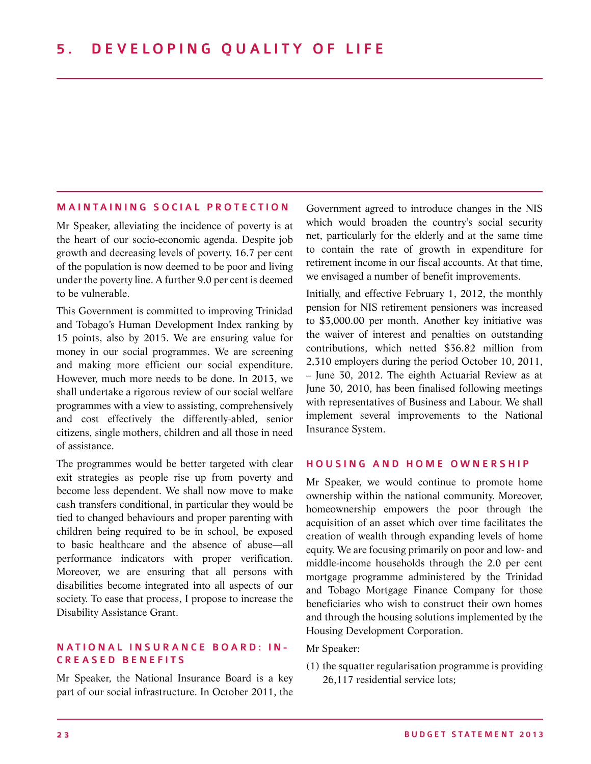#### M AINTAINING SOCIAL PROTECTION

Mr Speaker, alleviating the incidence of poverty is at the heart of our socio-economic agenda. Despite job growth and decreasing levels of poverty, 16.7 per cent of the population is now deemed to be poor and living under the poverty line. A further 9.0 per cent is deemed to be vulnerable.

This Government is committed to improving Trinidad and Tobago's Human Development Index ranking by 15 points, also by 2015. We are ensuring value for money in our social programmes. We are screening and making more efficient our social expenditure. However, much more needs to be done. In 2013, we shall undertake a rigorous review of our social welfare programmes with a view to assisting, comprehensively and cost effectively the differently-abled, senior citizens, single mothers, children and all those in need of assistance.

The programmes would be better targeted with clear exit strategies as people rise up from poverty and become less dependent. We shall now move to make cash transfers conditional, in particular they would be tied to changed behaviours and proper parenting with children being required to be in school, be exposed to basic healthcare and the absence of abuse—all performance indicators with proper verification. Moreover, we are ensuring that all persons with disabilities become integrated into all aspects of our society. To ease that process, I propose to increase the Disability Assistance Grant.

#### N ATION AL INSURANCE BOARD: IN-CREASED BENEFITS

Mr Speaker, the National Insurance Board is a key part of our social infrastructure. In October 2011, the

Government agreed to introduce changes in the NIS which would broaden the country's social security net, particularly for the elderly and at the same time to contain the rate of growth in expenditure for retirement income in our fiscal accounts. At that time, we envisaged a number of benefit improvements.

Initially, and effective February 1, 2012, the monthly pension for NIS retirement pensioners was increased to \$3,000.00 per month. Another key initiative was the waiver of interest and penalties on outstanding contributions, which netted \$36.82 million from 2,310 employers during the period October 10, 2011, – June 30, 2012. The eighth Actuarial Review as at June 30, 2010, has been finalised following meetings with representatives of Business and Labour. We shall implement several improvements to the National Insurance System.

#### HOUSING AND HOME OWNERSHIP

Mr Speaker, we would continue to promote home ownership within the national community. Moreover, homeownership empowers the poor through the acquisition of an asset which over time facilitates the creation of wealth through expanding levels of home equity. We are focusing primarily on poor and low- and middle-income households through the 2.0 per cent mortgage programme administered by the Trinidad and Tobago Mortgage Finance Company for those beneficiaries who wish to construct their own homes and through the housing solutions implemented by the Housing Development Corporation.

#### Mr Speaker:

(1) the squatter regularisation programme is providing 26,117 residential service lots;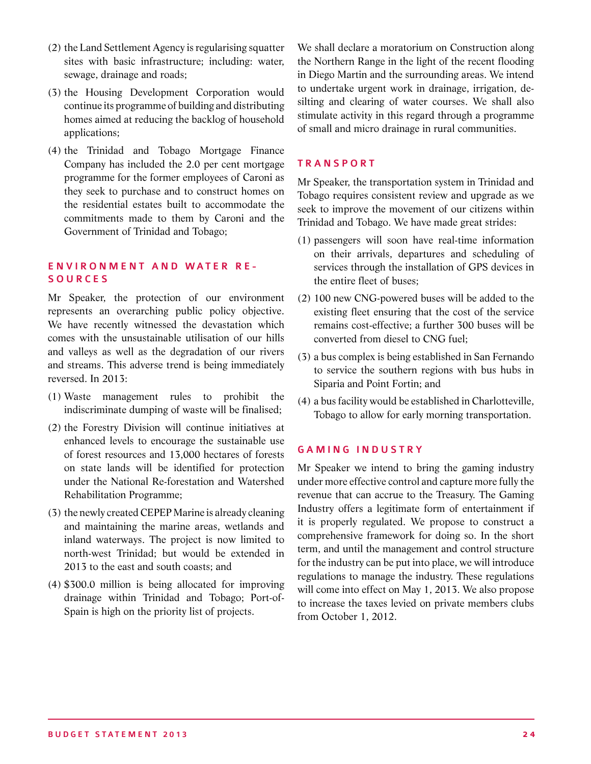- (2) the Land Settlement Agency is regularising squatter sites with basic infrastructure; including: water, sewage, drainage and roads;
- (3) the Housing Development Corporation would continue its programme of building and distributing homes aimed at reducing the backlog of household applications;
- (4) the Trinidad and Tobago Mortgage Finance Company has included the 2.0 per cent mortgage programme for the former employees of Caroni as they seek to purchase and to construct homes on the residential estates built to accommodate the commitments made to them by Caroni and the Government of Trinidad and Tobago;

#### E nvir o nment and Water R e s o urces

Mr Speaker, the protection of our environment represents an overarching public policy objective. We have recently witnessed the devastation which comes with the unsustainable utilisation of our hills and valleys as well as the degradation of our rivers and streams. This adverse trend is being immediately reversed. In 2013:

- (1) Waste management rules to prohibit the indiscriminate dumping of waste will be finalised;
- (2) the Forestry Division will continue initiatives at enhanced levels to encourage the sustainable use of forest resources and 13,000 hectares of forests on state lands will be identified for protection under the National Re-forestation and Watershed Rehabilitation Programme;
- (3) the newly created CEPEP Marine is already cleaning and maintaining the marine areas, wetlands and inland waterways. The project is now limited to north-west Trinidad; but would be extended in 2013 to the east and south coasts; and
- (4) \$300.0 million is being allocated for improving drainage within Trinidad and Tobago; Port-of-Spain is high on the priority list of projects.

We shall declare a moratorium on Construction along the Northern Range in the light of the recent flooding in Diego Martin and the surrounding areas. We intend to undertake urgent work in drainage, irrigation, desilting and clearing of water courses. We shall also stimulate activity in this regard through a programme of small and micro drainage in rural communities.

#### **TRANSPORT**

Mr Speaker, the transportation system in Trinidad and Tobago requires consistent review and upgrade as we seek to improve the movement of our citizens within Trinidad and Tobago. We have made great strides:

- (1) passengers will soon have real-time information on their arrivals, departures and scheduling of services through the installation of GPS devices in the entire fleet of buses;
- (2) 100 new CNG-powered buses will be added to the existing fleet ensuring that the cost of the service remains cost-effective; a further 300 buses will be converted from diesel to CNG fuel;
- (3) a bus complex is being established in San Fernando to service the southern regions with bus hubs in Siparia and Point Fortin; and
- (4) a bus facility would be established in Charlotteville, Tobago to allow for early morning transportation.

#### GAMING INDUSTRY

Mr Speaker we intend to bring the gaming industry under more effective control and capture more fully the revenue that can accrue to the Treasury. The Gaming Industry offers a legitimate form of entertainment if it is properly regulated. We propose to construct a comprehensive framework for doing so. In the short term, and until the management and control structure for the industry can be put into place, we will introduce regulations to manage the industry. These regulations will come into effect on May 1, 2013. We also propose to increase the taxes levied on private members clubs from October 1, 2012.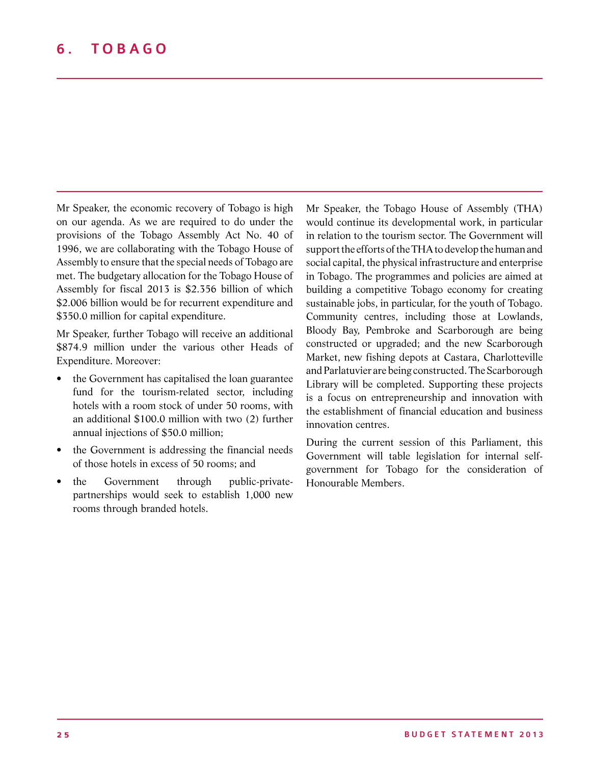Mr Speaker, the economic recovery of Tobago is high on our agenda. As we are required to do under the provisions of the Tobago Assembly Act No. 40 of 1996, we are collaborating with the Tobago House of Assembly to ensure that the special needs of Tobago are met. The budgetary allocation for the Tobago House of Assembly for fiscal 2013 is \$2.356 billion of which \$2.006 billion would be for recurrent expenditure and \$350.0 million for capital expenditure.

Mr Speaker, further Tobago will receive an additional \$874.9 million under the various other Heads of Expenditure. Moreover:

- the Government has capitalised the loan guarantee fund for the tourism-related sector, including hotels with a room stock of under 50 rooms, with an additional \$100.0 million with two (2) further annual injections of \$50.0 million;
- the Government is addressing the financial needs of those hotels in excess of 50 rooms; and
- the Government through public-privatepartnerships would seek to establish 1,000 new rooms through branded hotels.

Mr Speaker, the Tobago House of Assembly (THA) would continue its developmental work, in particular in relation to the tourism sector. The Government will support the efforts of the THA to develop the human and social capital, the physical infrastructure and enterprise in Tobago. The programmes and policies are aimed at building a competitive Tobago economy for creating sustainable jobs, in particular, for the youth of Tobago. Community centres, including those at Lowlands, Bloody Bay, Pembroke and Scarborough are being constructed or upgraded; and the new Scarborough Market, new fishing depots at Castara, Charlotteville and Parlatuvier are being constructed. The Scarborough Library will be completed. Supporting these projects is a focus on entrepreneurship and innovation with the establishment of financial education and business innovation centres.

During the current session of this Parliament, this Government will table legislation for internal selfgovernment for Tobago for the consideration of Honourable Members.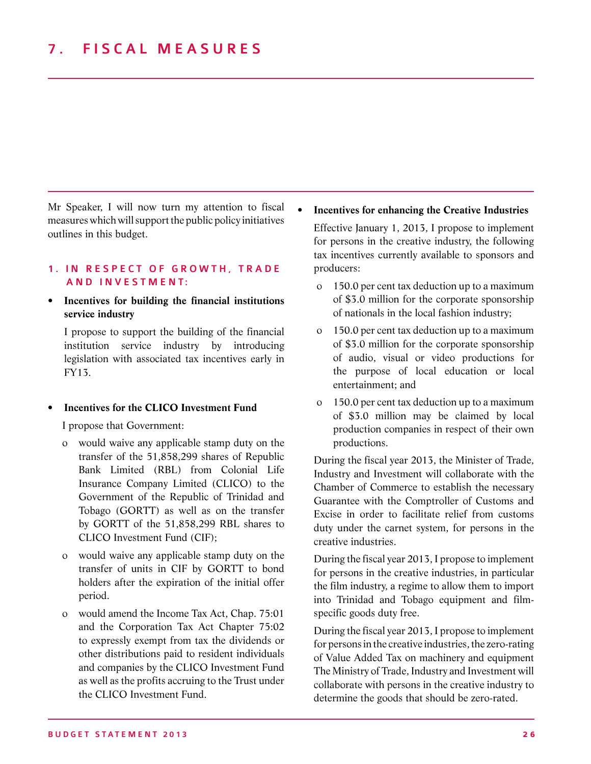Mr Speaker, I will now turn my attention to fiscal measures which will support the public policy initiatives outlines in this budget.

#### 1. IN RESPECT OF GROWTH, TRADE AND INVESTMENT:

#### **• Incentives for building the financial institutions service industry**

I propose to support the building of the financial institution service industry by introducing legislation with associated tax incentives early in FY13.

#### **Incentives for the CLICO** Investment Fund

I propose that Government:

- o would waive any applicable stamp duty on the transfer of the 51,858,299 shares of Republic Bank Limited (RBL) from Colonial Life Insurance Company Limited (CLICO) to the Government of the Republic of Trinidad and Tobago (GORTT) as well as on the transfer by GORTT of the 51,858,299 RBL shares to CLICO Investment Fund (CIF);
- o would waive any applicable stamp duty on the transfer of units in CIF by GORTT to bond holders after the expiration of the initial offer period.
- o would amend the Income Tax Act, Chap. 75:01 and the Corporation Tax Act Chapter 75:02 to expressly exempt from tax the dividends or other distributions paid to resident individuals and companies by the CLICO Investment Fund as well as the profits accruing to the Trust under the CLICO Investment Fund.

#### **• Incentives for enhancing the Creative Industries**

Effective January 1, 2013, I propose to implement for persons in the creative industry, the following tax incentives currently available to sponsors and producers:

- o 150.0 per cent tax deduction up to a maximum of \$3.0 million for the corporate sponsorship of nationals in the local fashion industry;
- o 150.0 per cent tax deduction up to a maximum of \$3.0 million for the corporate sponsorship of audio, visual or video productions for the purpose of local education or local entertainment; and
- o 150.0 per cent tax deduction up to a maximum of \$3.0 million may be claimed by local production companies in respect of their own productions.

During the fiscal year 2013, the Minister of Trade, Industry and Investment will collaborate with the Chamber of Commerce to establish the necessary Guarantee with the Comptroller of Customs and Excise in order to facilitate relief from customs duty under the carnet system, for persons in the creative industries.

During the fiscal year 2013, I propose to implement for persons in the creative industries, in particular the film industry, a regime to allow them to import into Trinidad and Tobago equipment and filmspecific goods duty free.

During the fiscal year 2013, I propose to implement for persons in the creative industries, the zero-rating of Value Added Tax on machinery and equipment The Ministry of Trade, Industry and Investment will collaborate with persons in the creative industry to determine the goods that should be zero-rated.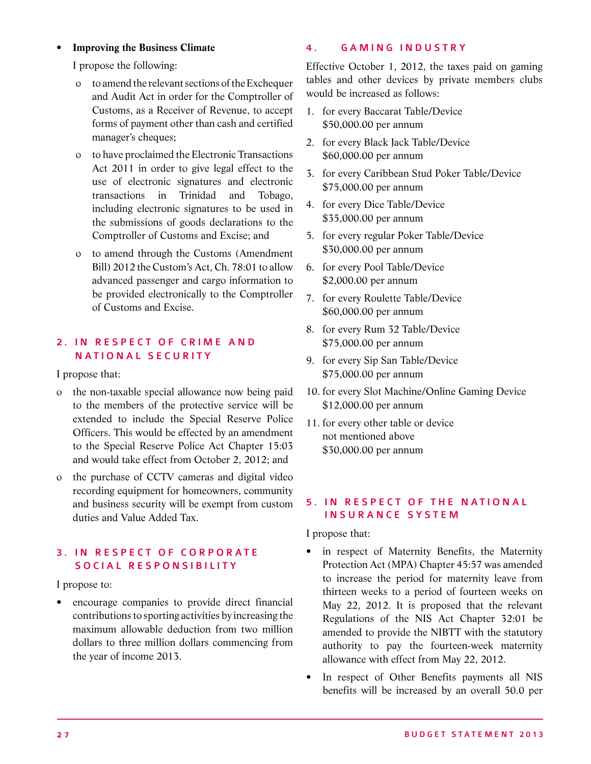#### **• Improving the Business Climate**

I propose the following:

- o to amend the relevant sections of the Exchequer and Audit Act in order for the Comptroller of Customs, as a Receiver of Revenue, to accept forms of payment other than cash and certified manager's cheques;
- o to have proclaimed the Electronic Transactions Act 2011 in order to give legal effect to the use of electronic signatures and electronic transactions in Trinidad and Tobago, including electronic signatures to be used in the submissions of goods declarations to the Comptroller of Customs and Excise; and
- o to amend through the Customs (Amendment Bill) 2012 the Custom's Act, Ch. 78:01 to allow advanced passenger and cargo information to be provided electronically to the Comptroller of Customs and Excise.

#### 2. IN RESPECT OF CRIME AND NATIONAL SECURITY

I propose that:

- o the non-taxable special allowance now being paid to the members of the protective service will be extended to include the Special Reserve Police Officers. This would be effected by an amendment to the Special Reserve Police Act Chapter 15:03 and would take effect from October 2, 2012; and
- o the purchase of CCTV cameras and digital video recording equipment for homeowners, community and business security will be exempt from custom duties and Value Added Tax.

#### 3. IN RESPECT OF CORPORATE SOCIAL RESPONSIBILITY

I propose to:

• encourage companies to provide direct financial contributions to sporting activities by increasing the maximum allowable deduction from two million dollars to three million dollars commencing from the year of income 2013.

#### 4. GAMING INDUSTRY

Effective October 1, 2012, the taxes paid on gaming tables and other devices by private members clubs would be increased as follows:

- 1. for every Baccarat Table/Device \$50,000.00 per annum
- 2. for every Black Jack Table/Device \$60,000.00 per annum
- 3. for every Caribbean Stud Poker Table/Device \$75,000.00 per annum
- 4. for every Dice Table/Device \$35,000.00 per annum
- 5. for every regular Poker Table/Device \$30,000.00 per annum
- 6. for every Pool Table/Device \$2,000.00 per annum
- 7. for every Roulette Table/Device \$60,000.00 per annum
- 8. for every Rum 32 Table/Device \$75,000.00 per annum
- 9. for every Sip San Table/Device \$75,000.00 per annum
- 10. for every Slot Machine/Online Gaming Device \$12,000.00 per annum
- 11. for every other table or device not mentioned above \$30,000.00 per annum

#### 5. IN RESPECT OF THE NATIONAL I nsurance S ystem

I propose that:

- in respect of Maternity Benefits, the Maternity Protection Act (MPA) Chapter 45:57 was amended to increase the period for maternity leave from thirteen weeks to a period of fourteen weeks on May 22, 2012. It is proposed that the relevant Regulations of the NIS Act Chapter 32:01 be amended to provide the NIBTT with the statutory authority to pay the fourteen-week maternity allowance with effect from May 22, 2012.
- In respect of Other Benefits payments all NIS benefits will be increased by an overall 50.0 per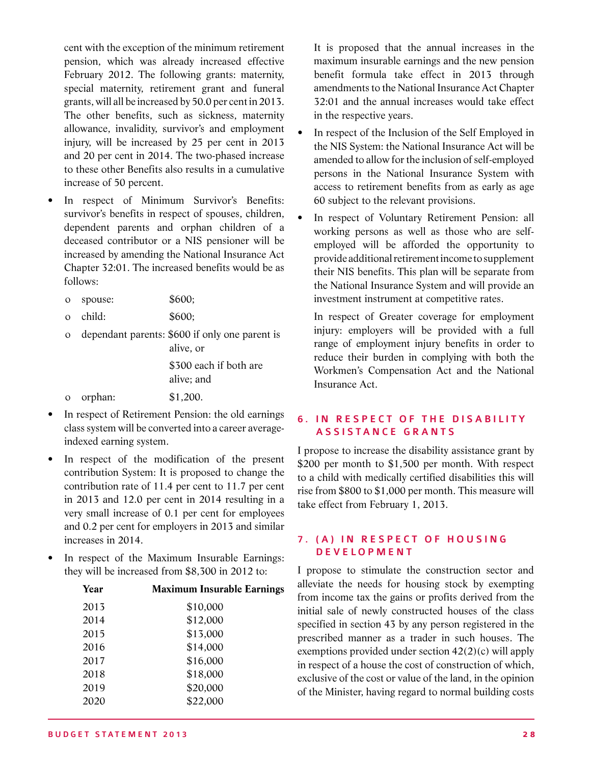cent with the exception of the minimum retirement pension, which was already increased effective February 2012. The following grants: maternity, special maternity, retirement grant and funeral grants, will all be increased by 50.0 per cent in 2013. The other benefits, such as sickness, maternity allowance, invalidity, survivor's and employment injury, will be increased by 25 per cent in 2013 and 20 per cent in 2014. The two-phased increase to these other Benefits also results in a cumulative increase of 50 percent.

- In respect of Minimum Survivor's Benefits: survivor's benefits in respect of spouses, children, dependent parents and orphan children of a deceased contributor or a NIS pensioner will be increased by amending the National Insurance Act Chapter 32:01. The increased benefits would be as follows:
	- o spouse: \$600;
	- o child: \$600;
	- o dependant parents: \$600 if only one parent is alive, or \$300 each if both are alive; and
	- o orphan: \$1,200.
- In respect of Retirement Pension: the old earnings class system will be converted into a career averageindexed earning system.
- In respect of the modification of the present contribution System: It is proposed to change the contribution rate of 11.4 per cent to 11.7 per cent in 2013 and 12.0 per cent in 2014 resulting in a very small increase of 0.1 per cent for employees and 0.2 per cent for employers in 2013 and similar increases in 2014.
- In respect of the Maximum Insurable Earnings: they will be increased from \$8,300 in 2012 to:

| <b>Maximum Insurable Earnings</b> |
|-----------------------------------|
| \$10,000                          |
| \$12,000                          |
| \$13,000                          |
| \$14,000                          |
| \$16,000                          |
| \$18,000                          |
| \$20,000                          |
| \$22,000                          |
|                                   |

It is proposed that the annual increases in the maximum insurable earnings and the new pension benefit formula take effect in 2013 through amendments to the National Insurance Act Chapter 32:01 and the annual increases would take effect in the respective years.

- In respect of the Inclusion of the Self Employed in the NIS System: the National Insurance Act will be amended to allow for the inclusion of self-employed persons in the National Insurance System with access to retirement benefits from as early as age 60 subject to the relevant provisions.
- In respect of Voluntary Retirement Pension: all working persons as well as those who are selfemployed will be afforded the opportunity to provide additional retirement income to supplement their NIS benefits. This plan will be separate from the National Insurance System and will provide an investment instrument at competitive rates.

In respect of Greater coverage for employment injury: employers will be provided with a full range of employment injury benefits in order to reduce their burden in complying with both the Workmen's Compensation Act and the National Insurance Act.

#### 6. IN RESPECT OF THE DISABILITY ASSISTANCE GRANTS

I propose to increase the disability assistance grant by \$200 per month to \$1,500 per month. With respect to a child with medically certified disabilities this will rise from \$800 to \$1,000 per month. This measure will take effect from February 1, 2013.

#### 7. (A) IN RESPECT OF HOUSING **DEVELOPMENT**

I propose to stimulate the construction sector and alleviate the needs for housing stock by exempting from income tax the gains or profits derived from the initial sale of newly constructed houses of the class specified in section 43 by any person registered in the prescribed manner as a trader in such houses. The exemptions provided under section 42(2)(c) will apply in respect of a house the cost of construction of which, exclusive of the cost or value of the land, in the opinion of the Minister, having regard to normal building costs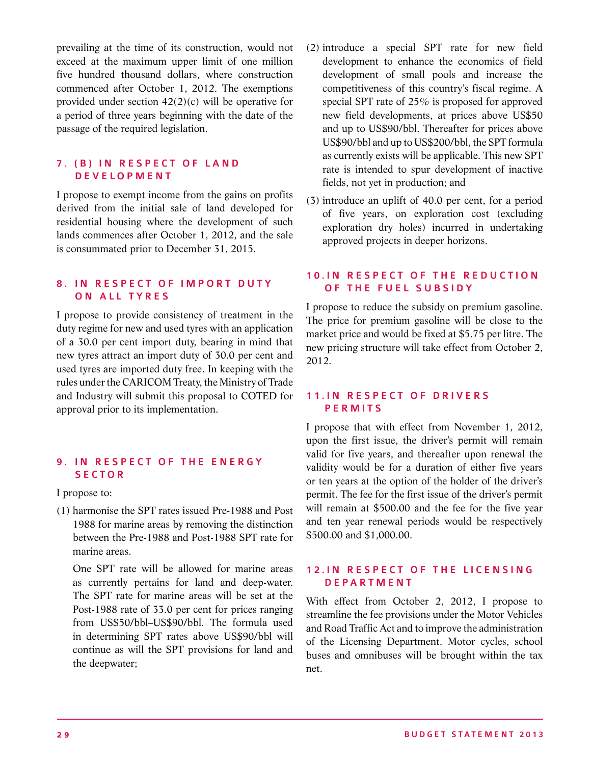prevailing at the time of its construction, would not exceed at the maximum upper limit of one million five hundred thousand dollars, where construction commenced after October 1, 2012. The exemptions provided under section 42(2)(c) will be operative for a period of three years beginning with the date of the passage of the required legislation.

#### 7. (B) IN RESPECT OF LAND **DEVELOPMENT**

I propose to exempt income from the gains on profits derived from the initial sale of land developed for residential housing where the development of such lands commences after October 1, 2012, and the sale is consummated prior to December 31, 2015.

#### 8. IN RESPECT OF IMPORT DUTY ON ALL TYRES

I propose to provide consistency of treatment in the duty regime for new and used tyres with an application of a 30.0 per cent import duty, bearing in mind that new tyres attract an import duty of 30.0 per cent and used tyres are imported duty free. In keeping with the rules under the CARICOM Treaty, the Ministry of Trade and Industry will submit this proposal to COTED for approval prior to its implementation.

#### 9. IN RESPECT OF THE ENERGY **SECTOR**

I propose to:

(1) harmonise the SPT rates issued Pre-1988 and Post 1988 for marine areas by removing the distinction between the Pre-1988 and Post-1988 SPT rate for marine areas.

One SPT rate will be allowed for marine areas as currently pertains for land and deep-water. The SPT rate for marine areas will be set at the Post-1988 rate of 33.0 per cent for prices ranging from US\$50/bbl–US\$90/bbl. The formula used in determining SPT rates above US\$90/bbl will continue as will the SPT provisions for land and the deepwater;

- (2) introduce a special SPT rate for new field development to enhance the economics of field development of small pools and increase the competitiveness of this country's fiscal regime. A special SPT rate of 25% is proposed for approved new field developments, at prices above US\$50 and up to US\$90/bbl. Thereafter for prices above US\$90/bbl and up to US\$200/bbl, the SPT formula as currently exists will be applicable. This new SPT rate is intended to spur development of inactive fields, not yet in production; and
- (3) introduce an uplift of 40.0 per cent, for a period of five years, on exploration cost (excluding exploration dry holes) incurred in undertaking approved projects in deeper horizons.

#### 10. IN RESPECT OF THE REDUCTION OF THE FUEL SUBSIDY

I propose to reduce the subsidy on premium gasoline. The price for premium gasoline will be close to the market price and would be fixed at \$5.75 per litre. The new pricing structure will take effect from October 2, 2012.

#### 11. IN RESPECT OF DRIVERS PERMITS

I propose that with effect from November 1, 2012, upon the first issue, the driver's permit will remain valid for five years, and thereafter upon renewal the validity would be for a duration of either five years or ten years at the option of the holder of the driver's permit. The fee for the first issue of the driver's permit will remain at \$500.00 and the fee for the five year and ten year renewal periods would be respectively \$500.00 and \$1,000.00.

#### 12. IN RESPECT OF THE LICENSING **DEPARTMENT**

With effect from October 2, 2012, I propose to streamline the fee provisions under the Motor Vehicles and Road Traffic Act and to improve the administration of the Licensing Department. Motor cycles, school buses and omnibuses will be brought within the tax net.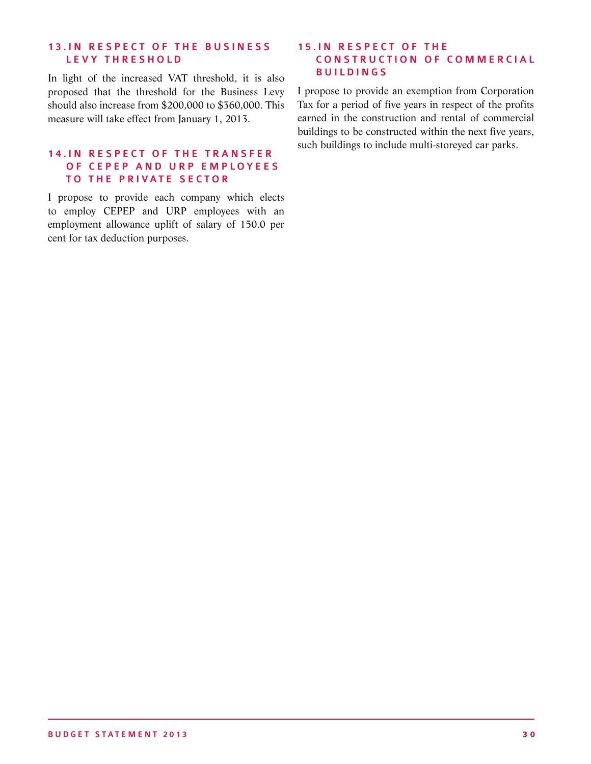#### 13. IN RESPECT OF THE BUSINESS LEVY THRESHOLD

In light of the increased VAT threshold, it is also proposed that the threshold for the Business Levy should also increase from \$200,000 to \$360,000. This measure will take effect from January 1, 2013.

#### 14. IN RESPECT OF THE TRANSFER OF CEPEP AND URP EMPLOYEES TO THE PRIVATE SECTOR

I propose to provide each company which elects to employ CEPEP and URP employees with an employment allowance uplift of salary of 150.0 per cent for tax deduction purposes.

#### **15. IN RESPECT OF THE** CONSTRUCTION OF COMMERCIAL **BUILDINGS**

I propose to provide an exemption from Corporation Tax for a period of five years in respect of the profits earned in the construction and rental of commercial buildings to be constructed within the next five years, such buildings to include multi-storeyed car parks.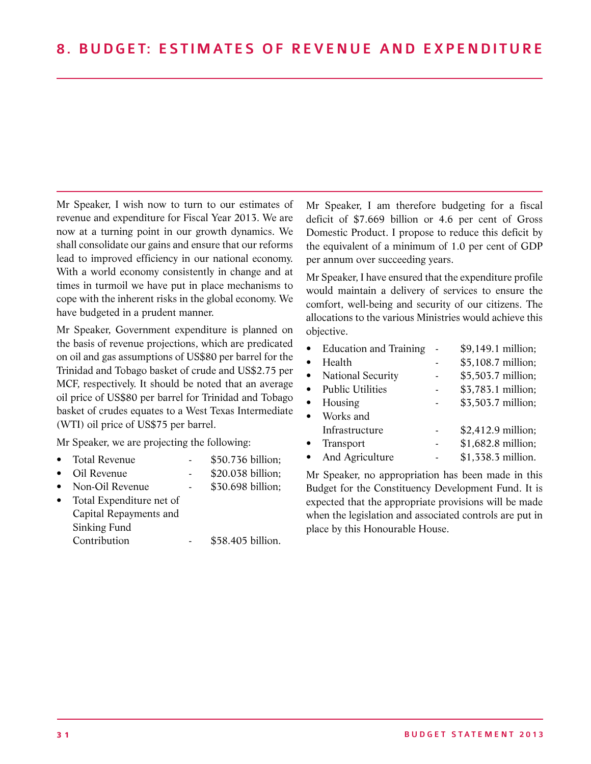Mr Speaker, I wish now to turn to our estimates of revenue and expenditure for Fiscal Year 2013. We are now at a turning point in our growth dynamics. We shall consolidate our gains and ensure that our reforms lead to improved efficiency in our national economy. With a world economy consistently in change and at times in turmoil we have put in place mechanisms to cope with the inherent risks in the global economy. We have budgeted in a prudent manner.

Mr Speaker, Government expenditure is planned on the basis of revenue projections, which are predicated on oil and gas assumptions of US\$80 per barrel for the Trinidad and Tobago basket of crude and US\$2.75 per MCF, respectively. It should be noted that an average oil price of US\$80 per barrel for Trinidad and Tobago basket of crudes equates to a West Texas Intermediate (WTI) oil price of US\$75 per barrel.

Mr Speaker, we are projecting the following:

- Total Revenue \$50.736 billion;
- Oil Revenue \$20.038 billion;
- Non-Oil Revenue \$30.698 billion:
- Total Expenditure net of Capital Repayments and Sinking Fund Contribution - \$58.405 billion.
	-

Mr Speaker, I am therefore budgeting for a fiscal deficit of \$7.669 billion or 4.6 per cent of Gross Domestic Product. I propose to reduce this deficit by the equivalent of a minimum of 1.0 per cent of GDP per annum over succeeding years.

Mr Speaker, I have ensured that the expenditure profile would maintain a delivery of services to ensure the comfort, well-being and security of our citizens. The allocations to the various Ministries would achieve this objective.

| <b>Education and Training</b> | \$9,149.1 million; |
|-------------------------------|--------------------|
| Health                        | \$5,108.7 million; |
| National Security             | \$5,503.7 million; |
| <b>Public Utilities</b>       | \$3,783.1 million; |
| Housing                       | \$3,503.7 million; |
| Works and                     |                    |
| Infrastructure                | \$2,412.9 million; |
| Transport                     | \$1,682.8 million; |
| And Agriculture               | \$1,338.3 million. |
|                               |                    |

Mr Speaker, no appropriation has been made in this Budget for the Constituency Development Fund. It is expected that the appropriate provisions will be made when the legislation and associated controls are put in place by this Honourable House.